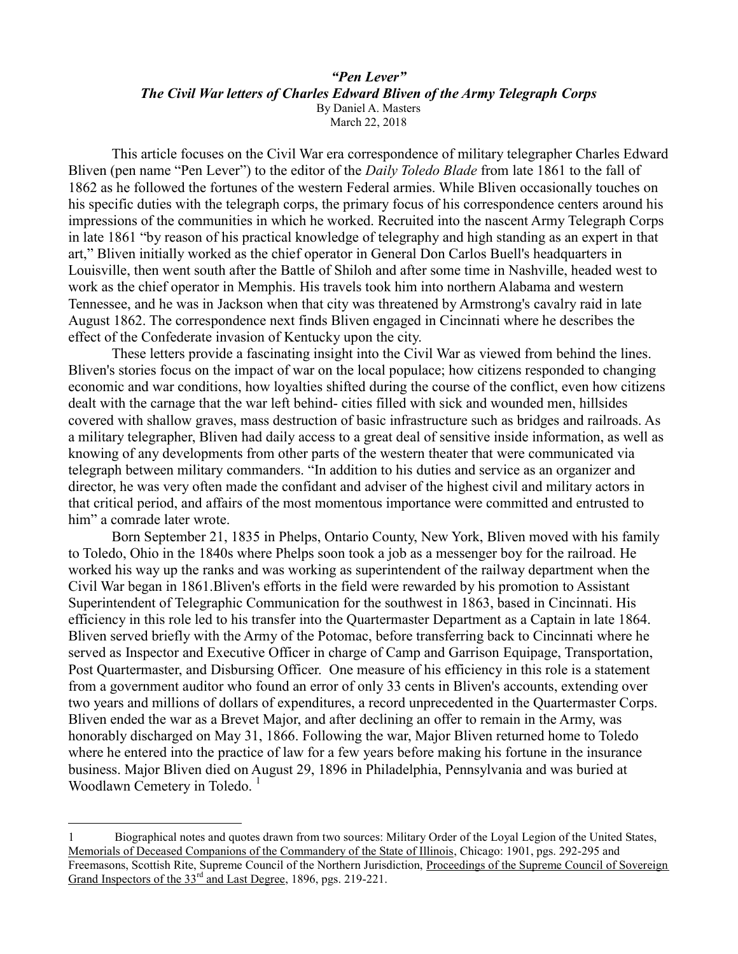#### *"Pen Lever" The Civil War letters of Charles Edward Bliven of the Army Telegraph Corps* By Daniel A. Masters March 22, 2018

This article focuses on the Civil War era correspondence of military telegrapher Charles Edward Bliven (pen name "Pen Lever") to the editor of the *Daily Toledo Blade* from late 1861 to the fall of 1862 as he followed the fortunes of the western Federal armies. While Bliven occasionally touches on his specific duties with the telegraph corps, the primary focus of his correspondence centers around his impressions of the communities in which he worked. Recruited into the nascent Army Telegraph Corps in late 1861 "by reason of his practical knowledge of telegraphy and high standing as an expert in that art," Bliven initially worked as the chief operator in General Don Carlos Buell's headquarters in Louisville, then went south after the Battle of Shiloh and after some time in Nashville, headed west to work as the chief operator in Memphis. His travels took him into northern Alabama and western Tennessee, and he was in Jackson when that city was threatened by Armstrong's cavalry raid in late August 1862. The correspondence next finds Bliven engaged in Cincinnati where he describes the effect of the Confederate invasion of Kentucky upon the city.

These letters provide a fascinating insight into the Civil War as viewed from behind the lines. Bliven's stories focus on the impact of war on the local populace; how citizens responded to changing economic and war conditions, how loyalties shifted during the course of the conflict, even how citizens dealt with the carnage that the war left behind- cities filled with sick and wounded men, hillsides covered with shallow graves, mass destruction of basic infrastructure such as bridges and railroads. As a military telegrapher, Bliven had daily access to a great deal of sensitive inside information, as well as knowing of any developments from other parts of the western theater that were communicated via telegraph between military commanders. "In addition to his duties and service as an organizer and director, he was very often made the confidant and adviser of the highest civil and military actors in that critical period, and affairs of the most momentous importance were committed and entrusted to him" a comrade later wrote.

Born September 21, 1835 in Phelps, Ontario County, New York, Bliven moved with his family to Toledo, Ohio in the 1840s where Phelps soon took a job as a messenger boy for the railroad. He worked his way up the ranks and was working as superintendent of the railway department when the Civil War began in 1861.Bliven's efforts in the field were rewarded by his promotion to Assistant Superintendent of Telegraphic Communication for the southwest in 1863, based in Cincinnati. His efficiency in this role led to his transfer into the Quartermaster Department as a Captain in late 1864. Bliven served briefly with the Army of the Potomac, before transferring back to Cincinnati where he served as Inspector and Executive Officer in charge of Camp and Garrison Equipage, Transportation, Post Quartermaster, and Disbursing Officer. One measure of his efficiency in this role is a statement from a government auditor who found an error of only 33 cents in Bliven's accounts, extending over two years and millions of dollars of expenditures, a record unprecedented in the Quartermaster Corps. Bliven ended the war as a Brevet Major, and after declining an offer to remain in the Army, was honorably discharged on May 31, 1866. Following the war, Major Bliven returned home to Toledo where he entered into the practice of law for a few years before making his fortune in the insurance business. Major Bliven died on August 29, 1896 in Philadelphia, Pennsylvania and was buried at Woodlawn Cemetery in Toledo.<sup>1</sup>

<sup>1</sup> Biographical notes and quotes drawn from two sources: Military Order of the Loyal Legion of the United States, Memorials of Deceased Companions of the Commandery of the State of Illinois, Chicago: 1901, pgs. 292-295 and Freemasons, Scottish Rite, Supreme Council of the Northern Jurisdiction, Proceedings of the Supreme Council of Sovereign Grand Inspectors of the 33<sup>rd</sup> and Last Degree, 1896, pgs. 219-221.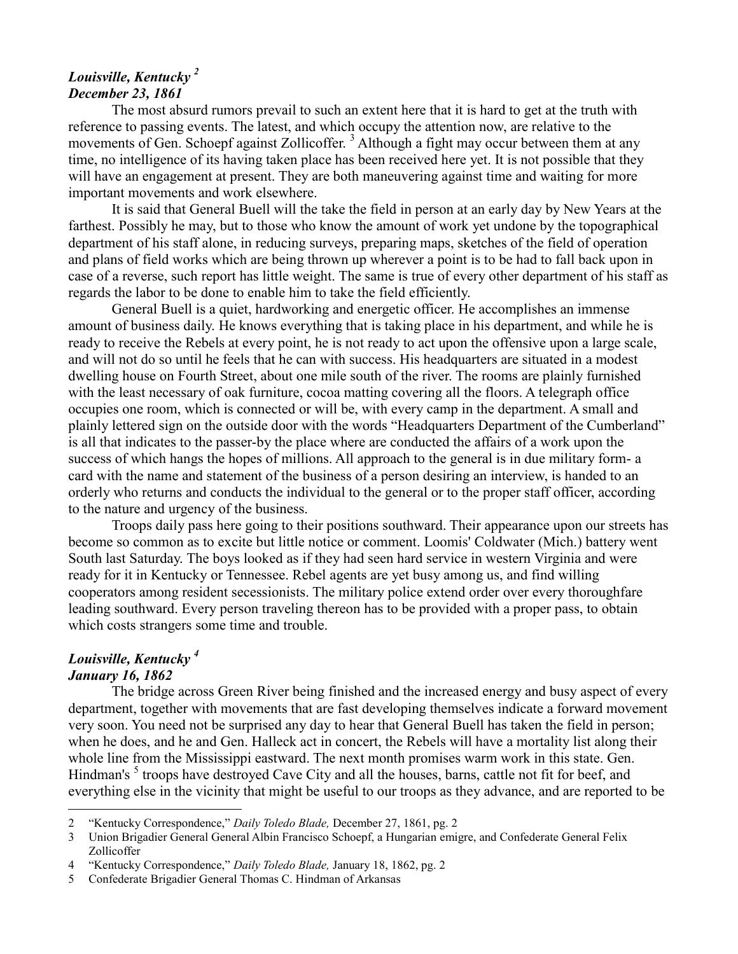# *Louisville, Kentucky <sup>2</sup> December 23, 1861*

The most absurd rumors prevail to such an extent here that it is hard to get at the truth with reference to passing events. The latest, and which occupy the attention now, are relative to the movements of Gen. Schoepf against Zollicoffer.<sup>3</sup> Although a fight may occur between them at any time, no intelligence of its having taken place has been received here yet. It is not possible that they will have an engagement at present. They are both maneuvering against time and waiting for more important movements and work elsewhere.

It is said that General Buell will the take the field in person at an early day by New Years at the farthest. Possibly he may, but to those who know the amount of work yet undone by the topographical department of his staff alone, in reducing surveys, preparing maps, sketches of the field of operation and plans of field works which are being thrown up wherever a point is to be had to fall back upon in case of a reverse, such report has little weight. The same is true of every other department of his staff as regards the labor to be done to enable him to take the field efficiently.

General Buell is a quiet, hardworking and energetic officer. He accomplishes an immense amount of business daily. He knows everything that is taking place in his department, and while he is ready to receive the Rebels at every point, he is not ready to act upon the offensive upon a large scale, and will not do so until he feels that he can with success. His headquarters are situated in a modest dwelling house on Fourth Street, about one mile south of the river. The rooms are plainly furnished with the least necessary of oak furniture, cocoa matting covering all the floors. A telegraph office occupies one room, which is connected or will be, with every camp in the department. A small and plainly lettered sign on the outside door with the words "Headquarters Department of the Cumberland" is all that indicates to the passer-by the place where are conducted the affairs of a work upon the success of which hangs the hopes of millions. All approach to the general is in due military form- a card with the name and statement of the business of a person desiring an interview, is handed to an orderly who returns and conducts the individual to the general or to the proper staff officer, according to the nature and urgency of the business.

Troops daily pass here going to their positions southward. Their appearance upon our streets has become so common as to excite but little notice or comment. Loomis' Coldwater (Mich.) battery went South last Saturday. The boys looked as if they had seen hard service in western Virginia and were ready for it in Kentucky or Tennessee. Rebel agents are yet busy among us, and find willing cooperators among resident secessionists. The military police extend order over every thoroughfare leading southward. Every person traveling thereon has to be provided with a proper pass, to obtain which costs strangers some time and trouble.

# *Louisville, Kentucky <sup>4</sup>*

## *January 16, 1862*

 $\overline{a}$ 

The bridge across Green River being finished and the increased energy and busy aspect of every department, together with movements that are fast developing themselves indicate a forward movement very soon. You need not be surprised any day to hear that General Buell has taken the field in person; when he does, and he and Gen. Halleck act in concert, the Rebels will have a mortality list along their whole line from the Mississippi eastward. The next month promises warm work in this state. Gen. Hindman's <sup>5</sup> troops have destroyed Cave City and all the houses, barns, cattle not fit for beef, and everything else in the vicinity that might be useful to our troops as they advance, and are reported to be

<sup>2</sup> "Kentucky Correspondence," *Daily Toledo Blade,* December 27, 1861, pg. 2

<sup>3</sup> Union Brigadier General General Albin Francisco Schoepf, a Hungarian emigre, and Confederate General Felix Zollicoffer

<sup>4</sup> "Kentucky Correspondence," *Daily Toledo Blade,* January 18, 1862, pg. 2

<sup>5</sup> Confederate Brigadier General Thomas C. Hindman of Arkansas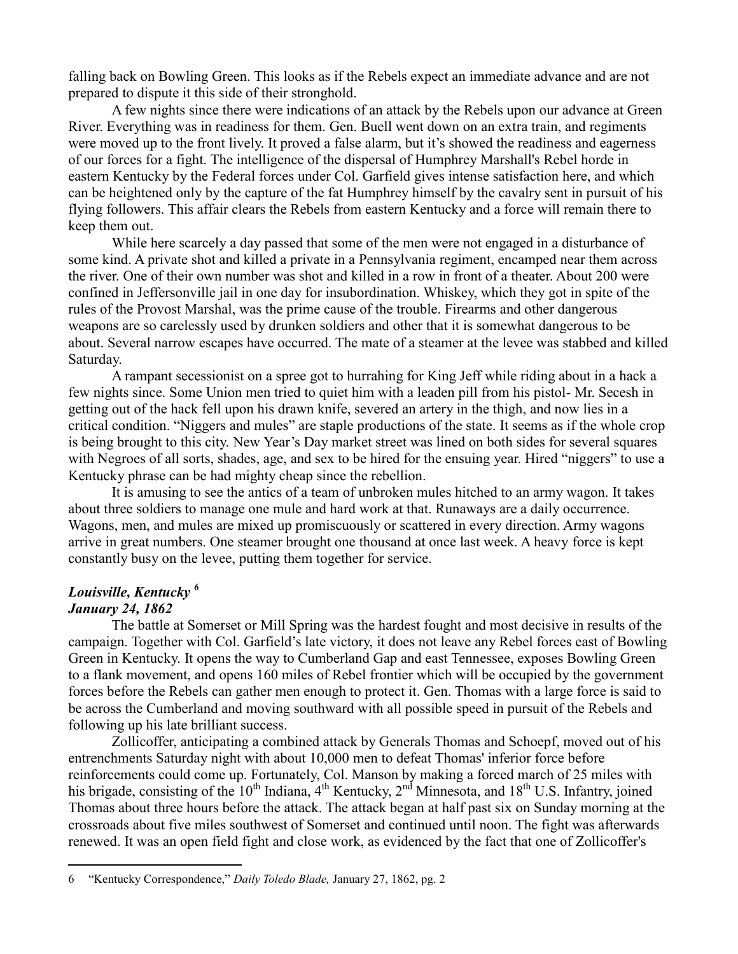falling back on Bowling Green. This looks as if the Rebels expect an immediate advance and are not prepared to dispute it this side of their stronghold.

A few nights since there were indications of an attack by the Rebels upon our advance at Green River. Everything was in readiness for them. Gen. Buell went down on an extra train, and regiments were moved up to the front lively. It proved a false alarm, but it's showed the readiness and eagerness of our forces for a fight. The intelligence of the dispersal of Humphrey Marshall's Rebel horde in eastern Kentucky by the Federal forces under Col. Garfield gives intense satisfaction here, and which can be heightened only by the capture of the fat Humphrey himself by the cavalry sent in pursuit of his flying followers. This affair clears the Rebels from eastern Kentucky and a force will remain there to keep them out.

While here scarcely a day passed that some of the men were not engaged in a disturbance of some kind. A private shot and killed a private in a Pennsylvania regiment, encamped near them across the river. One of their own number was shot and killed in a row in front of a theater. About 200 were confined in Jeffersonville jail in one day for insubordination. Whiskey, which they got in spite of the rules of the Provost Marshal, was the prime cause of the trouble. Firearms and other dangerous weapons are so carelessly used by drunken soldiers and other that it is somewhat dangerous to be about. Several narrow escapes have occurred. The mate of a steamer at the levee was stabbed and killed Saturday.

A rampant secessionist on a spree got to hurrahing for King Jeff while riding about in a hack a few nights since. Some Union men tried to quiet him with a leaden pill from his pistol- Mr. Secesh in getting out of the hack fell upon his drawn knife, severed an artery in the thigh, and now lies in a critical condition. "Niggers and mules" are staple productions of the state. It seems as if the whole crop is being brought to this city. New Year's Day market street was lined on both sides for several squares with Negroes of all sorts, shades, age, and sex to be hired for the ensuing year. Hired "niggers" to use a Kentucky phrase can be had mighty cheap since the rebellion.

It is amusing to see the antics of a team of unbroken mules hitched to an army wagon. It takes about three soldiers to manage one mule and hard work at that. Runaways are a daily occurrence. Wagons, men, and mules are mixed up promiscuously or scattered in every direction. Army wagons arrive in great numbers. One steamer brought one thousand at once last week. A heavy force is kept constantly busy on the levee, putting them together for service.

# *Louisville, Kentucky <sup>6</sup> January 24, 1862*

 $\overline{a}$ 

The battle at Somerset or Mill Spring was the hardest fought and most decisive in results of the campaign. Together with Col. Garfield's late victory, it does not leave any Rebel forces east of Bowling Green in Kentucky. It opens the way to Cumberland Gap and east Tennessee, exposes Bowling Green to a flank movement, and opens 160 miles of Rebel frontier which will be occupied by the government forces before the Rebels can gather men enough to protect it. Gen. Thomas with a large force is said to be across the Cumberland and moving southward with all possible speed in pursuit of the Rebels and following up his late brilliant success.

Zollicoffer, anticipating a combined attack by Generals Thomas and Schoepf, moved out of his entrenchments Saturday night with about 10,000 men to defeat Thomas' inferior force before reinforcements could come up. Fortunately, Col. Manson by making a forced march of 25 miles with his brigade, consisting of the  $10^{th}$  Indiana,  $4^{th}$  Kentucky,  $2^{nd}$  Minnesota, and  $18^{th}$  U.S. Infantry, joined Thomas about three hours before the attack. The attack began at half past six on Sunday morning at the crossroads about five miles southwest of Somerset and continued until noon. The fight was afterwards renewed. It was an open field fight and close work, as evidenced by the fact that one of Zollicoffer's

<sup>6</sup> "Kentucky Correspondence," *Daily Toledo Blade,* January 27, 1862, pg. 2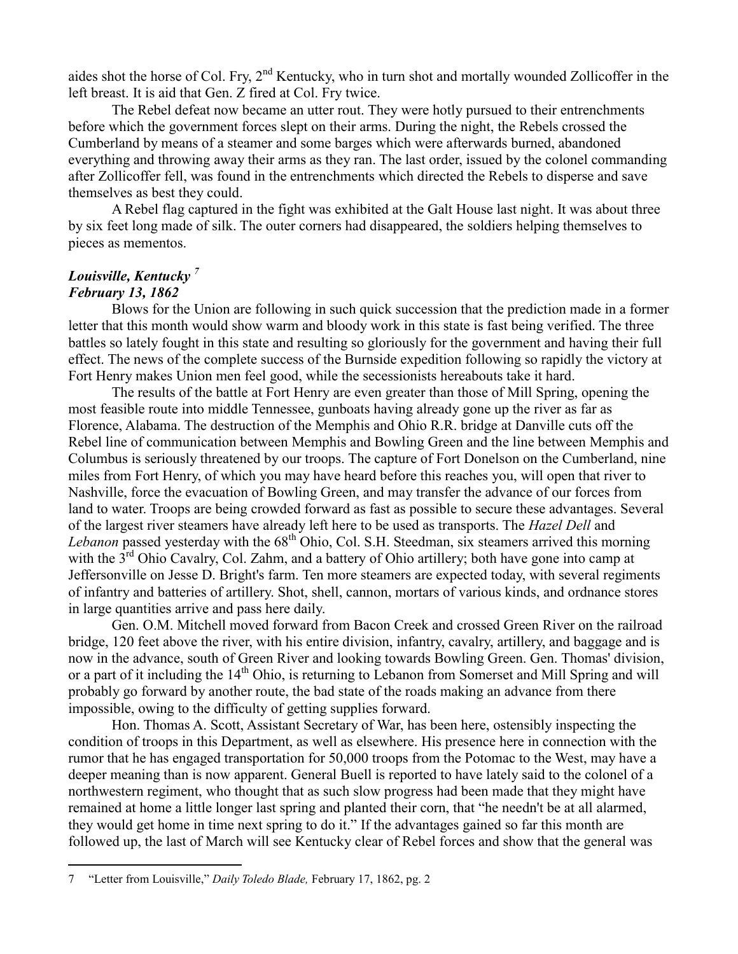aides shot the horse of Col. Fry, 2<sup>nd</sup> Kentucky, who in turn shot and mortally wounded Zollicoffer in the left breast. It is aid that Gen. Z fired at Col. Fry twice.

The Rebel defeat now became an utter rout. They were hotly pursued to their entrenchments before which the government forces slept on their arms. During the night, the Rebels crossed the Cumberland by means of a steamer and some barges which were afterwards burned, abandoned everything and throwing away their arms as they ran. The last order, issued by the colonel commanding after Zollicoffer fell, was found in the entrenchments which directed the Rebels to disperse and save themselves as best they could.

A Rebel flag captured in the fight was exhibited at the Galt House last night. It was about three by six feet long made of silk. The outer corners had disappeared, the soldiers helping themselves to pieces as mementos.

#### *Louisville, Kentucky <sup>7</sup> February 13, 1862*

 $\overline{a}$ 

Blows for the Union are following in such quick succession that the prediction made in a former letter that this month would show warm and bloody work in this state is fast being verified. The three battles so lately fought in this state and resulting so gloriously for the government and having their full effect. The news of the complete success of the Burnside expedition following so rapidly the victory at Fort Henry makes Union men feel good, while the secessionists hereabouts take it hard.

The results of the battle at Fort Henry are even greater than those of Mill Spring, opening the most feasible route into middle Tennessee, gunboats having already gone up the river as far as Florence, Alabama. The destruction of the Memphis and Ohio R.R. bridge at Danville cuts off the Rebel line of communication between Memphis and Bowling Green and the line between Memphis and Columbus is seriously threatened by our troops. The capture of Fort Donelson on the Cumberland, nine miles from Fort Henry, of which you may have heard before this reaches you, will open that river to Nashville, force the evacuation of Bowling Green, and may transfer the advance of our forces from land to water. Troops are being crowded forward as fast as possible to secure these advantages. Several of the largest river steamers have already left here to be used as transports. The *Hazel Dell* and *Lebanon* passed yesterday with the 68<sup>th</sup> Ohio, Col. S.H. Steedman, six steamers arrived this morning with the  $3<sup>rd</sup>$  Ohio Cavalry, Col. Zahm, and a battery of Ohio artillery; both have gone into camp at Jeffersonville on Jesse D. Bright's farm. Ten more steamers are expected today, with several regiments of infantry and batteries of artillery. Shot, shell, cannon, mortars of various kinds, and ordnance stores in large quantities arrive and pass here daily.

Gen. O.M. Mitchell moved forward from Bacon Creek and crossed Green River on the railroad bridge, 120 feet above the river, with his entire division, infantry, cavalry, artillery, and baggage and is now in the advance, south of Green River and looking towards Bowling Green. Gen. Thomas' division, or a part of it including the 14<sup>th</sup> Ohio, is returning to Lebanon from Somerset and Mill Spring and will probably go forward by another route, the bad state of the roads making an advance from there impossible, owing to the difficulty of getting supplies forward.

Hon. Thomas A. Scott, Assistant Secretary of War, has been here, ostensibly inspecting the condition of troops in this Department, as well as elsewhere. His presence here in connection with the rumor that he has engaged transportation for 50,000 troops from the Potomac to the West, may have a deeper meaning than is now apparent. General Buell is reported to have lately said to the colonel of a northwestern regiment, who thought that as such slow progress had been made that they might have remained at home a little longer last spring and planted their corn, that "he needn't be at all alarmed, they would get home in time next spring to do it." If the advantages gained so far this month are followed up, the last of March will see Kentucky clear of Rebel forces and show that the general was

<sup>7</sup> "Letter from Louisville," *Daily Toledo Blade,* February 17, 1862, pg. 2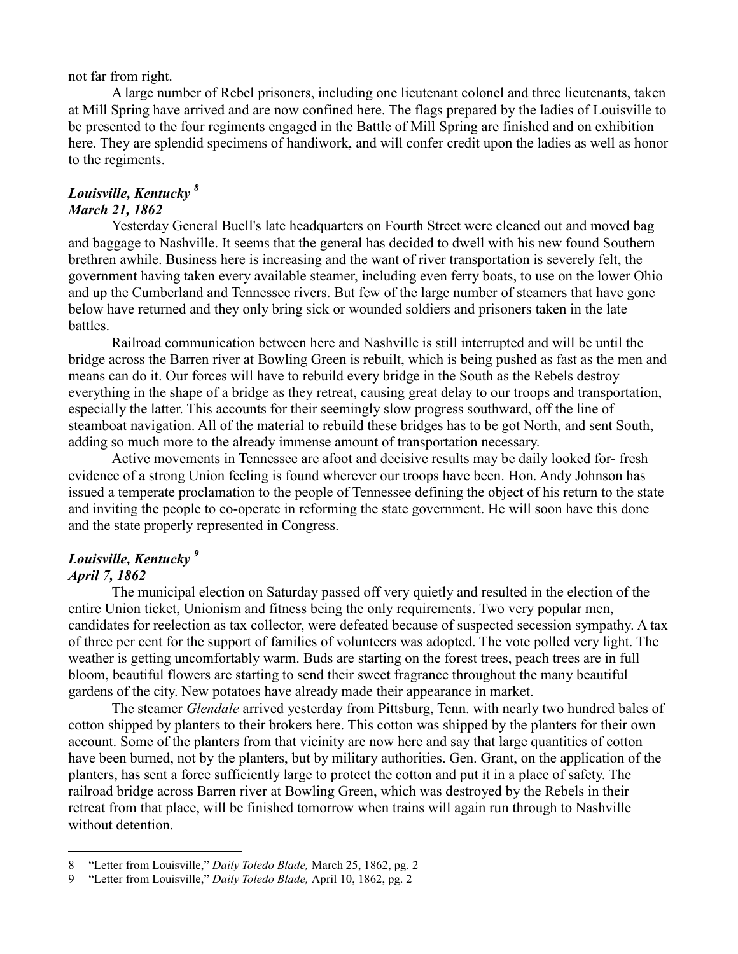not far from right.

A large number of Rebel prisoners, including one lieutenant colonel and three lieutenants, taken at Mill Spring have arrived and are now confined here. The flags prepared by the ladies of Louisville to be presented to the four regiments engaged in the Battle of Mill Spring are finished and on exhibition here. They are splendid specimens of handiwork, and will confer credit upon the ladies as well as honor to the regiments.

#### *Louisville, Kentucky <sup>8</sup> March 21, 1862*

Yesterday General Buell's late headquarters on Fourth Street were cleaned out and moved bag and baggage to Nashville. It seems that the general has decided to dwell with his new found Southern brethren awhile. Business here is increasing and the want of river transportation is severely felt, the government having taken every available steamer, including even ferry boats, to use on the lower Ohio and up the Cumberland and Tennessee rivers. But few of the large number of steamers that have gone below have returned and they only bring sick or wounded soldiers and prisoners taken in the late battles.

Railroad communication between here and Nashville is still interrupted and will be until the bridge across the Barren river at Bowling Green is rebuilt, which is being pushed as fast as the men and means can do it. Our forces will have to rebuild every bridge in the South as the Rebels destroy everything in the shape of a bridge as they retreat, causing great delay to our troops and transportation, especially the latter. This accounts for their seemingly slow progress southward, off the line of steamboat navigation. All of the material to rebuild these bridges has to be got North, and sent South, adding so much more to the already immense amount of transportation necessary.

Active movements in Tennessee are afoot and decisive results may be daily looked for- fresh evidence of a strong Union feeling is found wherever our troops have been. Hon. Andy Johnson has issued a temperate proclamation to the people of Tennessee defining the object of his return to the state and inviting the people to co-operate in reforming the state government. He will soon have this done and the state properly represented in Congress.

# *Louisville, Kentucky <sup>9</sup>*

# *April 7, 1862*

 $\overline{a}$ 

The municipal election on Saturday passed off very quietly and resulted in the election of the entire Union ticket, Unionism and fitness being the only requirements. Two very popular men, candidates for reelection as tax collector, were defeated because of suspected secession sympathy. A tax of three per cent for the support of families of volunteers was adopted. The vote polled very light. The weather is getting uncomfortably warm. Buds are starting on the forest trees, peach trees are in full bloom, beautiful flowers are starting to send their sweet fragrance throughout the many beautiful gardens of the city. New potatoes have already made their appearance in market.

The steamer *Glendale* arrived yesterday from Pittsburg, Tenn. with nearly two hundred bales of cotton shipped by planters to their brokers here. This cotton was shipped by the planters for their own account. Some of the planters from that vicinity are now here and say that large quantities of cotton have been burned, not by the planters, but by military authorities. Gen. Grant, on the application of the planters, has sent a force sufficiently large to protect the cotton and put it in a place of safety. The railroad bridge across Barren river at Bowling Green, which was destroyed by the Rebels in their retreat from that place, will be finished tomorrow when trains will again run through to Nashville without detention.

<sup>8</sup> "Letter from Louisville," *Daily Toledo Blade,* March 25, 1862, pg. 2

<sup>9</sup> "Letter from Louisville," *Daily Toledo Blade,* April 10, 1862, pg. 2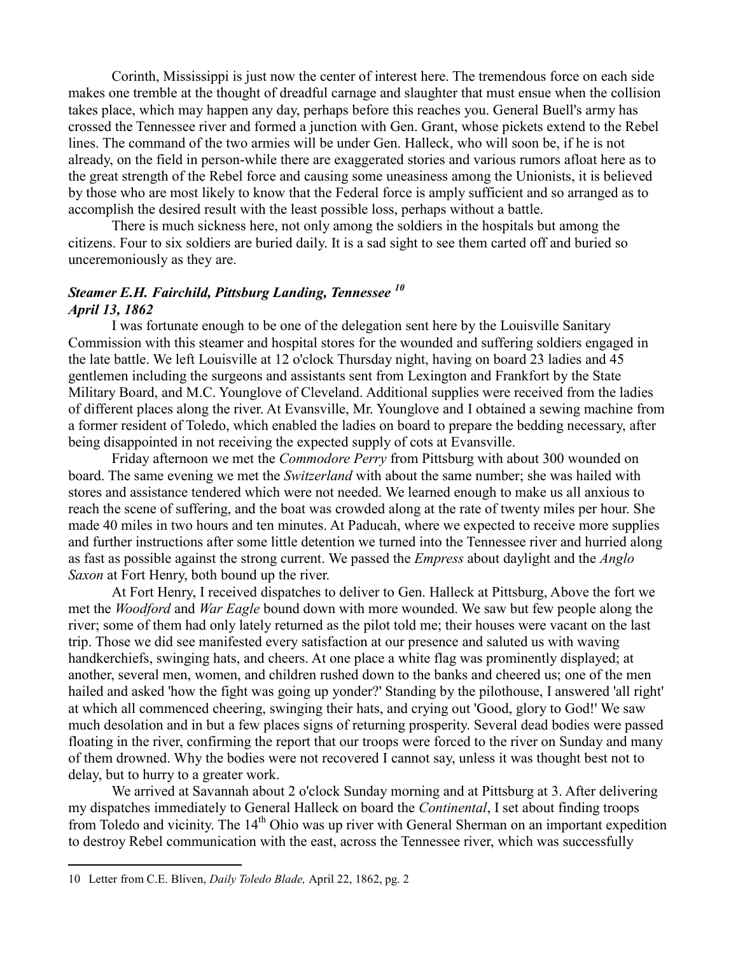Corinth, Mississippi is just now the center of interest here. The tremendous force on each side makes one tremble at the thought of dreadful carnage and slaughter that must ensue when the collision takes place, which may happen any day, perhaps before this reaches you. General Buell's army has crossed the Tennessee river and formed a junction with Gen. Grant, whose pickets extend to the Rebel lines. The command of the two armies will be under Gen. Halleck, who will soon be, if he is not already, on the field in person-while there are exaggerated stories and various rumors afloat here as to the great strength of the Rebel force and causing some uneasiness among the Unionists, it is believed by those who are most likely to know that the Federal force is amply sufficient and so arranged as to accomplish the desired result with the least possible loss, perhaps without a battle.

There is much sickness here, not only among the soldiers in the hospitals but among the citizens. Four to six soldiers are buried daily. It is a sad sight to see them carted off and buried so unceremoniously as they are.

# *Steamer E.H. Fairchild, Pittsburg Landing, Tennessee <sup>10</sup> April 13, 1862*

I was fortunate enough to be one of the delegation sent here by the Louisville Sanitary Commission with this steamer and hospital stores for the wounded and suffering soldiers engaged in the late battle. We left Louisville at 12 o'clock Thursday night, having on board 23 ladies and 45 gentlemen including the surgeons and assistants sent from Lexington and Frankfort by the State Military Board, and M.C. Younglove of Cleveland. Additional supplies were received from the ladies of different places along the river. At Evansville, Mr. Younglove and I obtained a sewing machine from a former resident of Toledo, which enabled the ladies on board to prepare the bedding necessary, after being disappointed in not receiving the expected supply of cots at Evansville.

Friday afternoon we met the *Commodore Perry* from Pittsburg with about 300 wounded on board. The same evening we met the *Switzerland* with about the same number; she was hailed with stores and assistance tendered which were not needed. We learned enough to make us all anxious to reach the scene of suffering, and the boat was crowded along at the rate of twenty miles per hour. She made 40 miles in two hours and ten minutes. At Paducah, where we expected to receive more supplies and further instructions after some little detention we turned into the Tennessee river and hurried along as fast as possible against the strong current. We passed the *Empress* about daylight and the *Anglo Saxon* at Fort Henry, both bound up the river.

At Fort Henry, I received dispatches to deliver to Gen. Halleck at Pittsburg, Above the fort we met the *Woodford* and *War Eagle* bound down with more wounded. We saw but few people along the river; some of them had only lately returned as the pilot told me; their houses were vacant on the last trip. Those we did see manifested every satisfaction at our presence and saluted us with waving handkerchiefs, swinging hats, and cheers. At one place a white flag was prominently displayed; at another, several men, women, and children rushed down to the banks and cheered us; one of the men hailed and asked 'how the fight was going up yonder?' Standing by the pilothouse, I answered 'all right' at which all commenced cheering, swinging their hats, and crying out 'Good, glory to God!' We saw much desolation and in but a few places signs of returning prosperity. Several dead bodies were passed floating in the river, confirming the report that our troops were forced to the river on Sunday and many of them drowned. Why the bodies were not recovered I cannot say, unless it was thought best not to delay, but to hurry to a greater work.

We arrived at Savannah about 2 o'clock Sunday morning and at Pittsburg at 3. After delivering my dispatches immediately to General Halleck on board the *Continental*, I set about finding troops from Toledo and vicinity. The 14<sup>th</sup> Ohio was up river with General Sherman on an important expedition to destroy Rebel communication with the east, across the Tennessee river, which was successfully

<sup>10</sup> Letter from C.E. Bliven, *Daily Toledo Blade,* April 22, 1862, pg. 2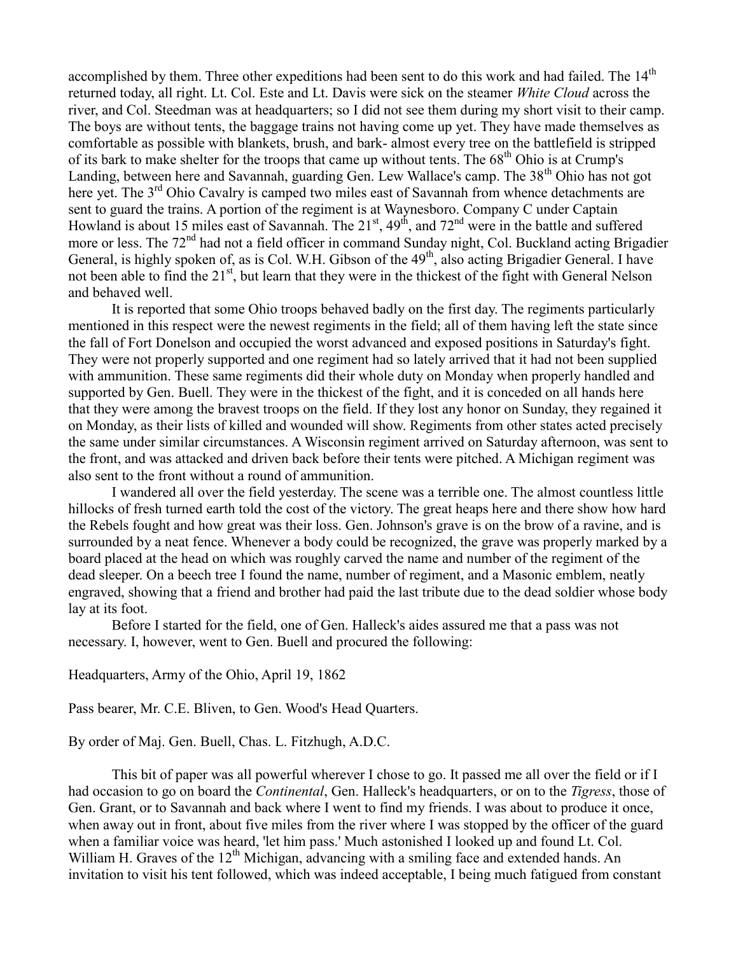accomplished by them. Three other expeditions had been sent to do this work and had failed. The 14<sup>th</sup> returned today, all right. Lt. Col. Este and Lt. Davis were sick on the steamer *White Cloud* across the river, and Col. Steedman was at headquarters; so I did not see them during my short visit to their camp. The boys are without tents, the baggage trains not having come up yet. They have made themselves as comfortable as possible with blankets, brush, and bark- almost every tree on the battlefield is stripped of its bark to make shelter for the troops that came up without tents. The 68<sup>th</sup> Ohio is at Crump's Landing, between here and Savannah, guarding Gen. Lew Wallace's camp. The 38<sup>th</sup> Ohio has not got here yet. The 3<sup>rd</sup> Ohio Cavalry is camped two miles east of Savannah from whence detachments are sent to guard the trains. A portion of the regiment is at Waynesboro. Company C under Captain Howland is about 15 miles east of Savannah. The  $21<sup>st</sup>$ ,  $49<sup>th</sup>$ , and  $72<sup>nd</sup>$  were in the battle and suffered more or less. The 72<sup>nd</sup> had not a field officer in command Sunday night, Col. Buckland acting Brigadier General, is highly spoken of, as is Col. W.H. Gibson of the 49<sup>th</sup>, also acting Brigadier General. I have not been able to find the 21<sup>st</sup>, but learn that they were in the thickest of the fight with General Nelson and behaved well.

It is reported that some Ohio troops behaved badly on the first day. The regiments particularly mentioned in this respect were the newest regiments in the field; all of them having left the state since the fall of Fort Donelson and occupied the worst advanced and exposed positions in Saturday's fight. They were not properly supported and one regiment had so lately arrived that it had not been supplied with ammunition. These same regiments did their whole duty on Monday when properly handled and supported by Gen. Buell. They were in the thickest of the fight, and it is conceded on all hands here that they were among the bravest troops on the field. If they lost any honor on Sunday, they regained it on Monday, as their lists of killed and wounded will show. Regiments from other states acted precisely the same under similar circumstances. A Wisconsin regiment arrived on Saturday afternoon, was sent to the front, and was attacked and driven back before their tents were pitched. A Michigan regiment was also sent to the front without a round of ammunition.

I wandered all over the field yesterday. The scene was a terrible one. The almost countless little hillocks of fresh turned earth told the cost of the victory. The great heaps here and there show how hard the Rebels fought and how great was their loss. Gen. Johnson's grave is on the brow of a ravine, and is surrounded by a neat fence. Whenever a body could be recognized, the grave was properly marked by a board placed at the head on which was roughly carved the name and number of the regiment of the dead sleeper. On a beech tree I found the name, number of regiment, and a Masonic emblem, neatly engraved, showing that a friend and brother had paid the last tribute due to the dead soldier whose body lay at its foot.

Before I started for the field, one of Gen. Halleck's aides assured me that a pass was not necessary. I, however, went to Gen. Buell and procured the following:

Headquarters, Army of the Ohio, April 19, 1862

Pass bearer, Mr. C.E. Bliven, to Gen. Wood's Head Quarters.

By order of Maj. Gen. Buell, Chas. L. Fitzhugh, A.D.C.

This bit of paper was all powerful wherever I chose to go. It passed me all over the field or if I had occasion to go on board the *Continental*, Gen. Halleck's headquarters, or on to the *Tigress*, those of Gen. Grant, or to Savannah and back where I went to find my friends. I was about to produce it once, when away out in front, about five miles from the river where I was stopped by the officer of the guard when a familiar voice was heard, 'let him pass.' Much astonished I looked up and found Lt. Col. William H. Graves of the  $12<sup>th</sup>$  Michigan, advancing with a smiling face and extended hands. An invitation to visit his tent followed, which was indeed acceptable, I being much fatigued from constant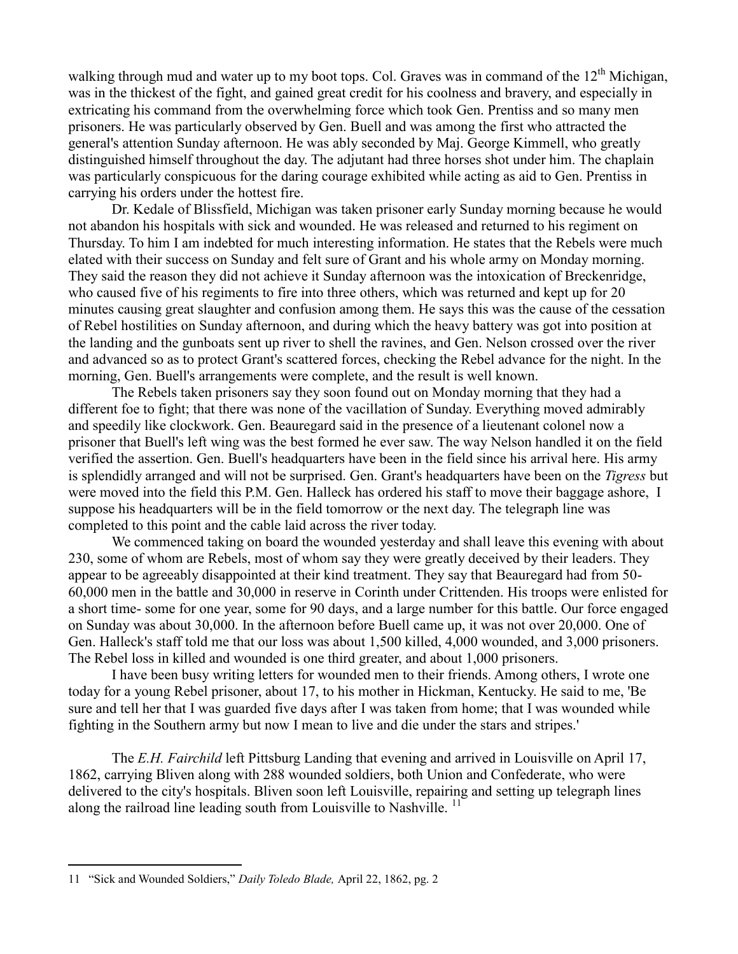walking through mud and water up to my boot tops. Col. Graves was in command of the  $12<sup>th</sup>$  Michigan, was in the thickest of the fight, and gained great credit for his coolness and bravery, and especially in extricating his command from the overwhelming force which took Gen. Prentiss and so many men prisoners. He was particularly observed by Gen. Buell and was among the first who attracted the general's attention Sunday afternoon. He was ably seconded by Maj. George Kimmell, who greatly distinguished himself throughout the day. The adjutant had three horses shot under him. The chaplain was particularly conspicuous for the daring courage exhibited while acting as aid to Gen. Prentiss in carrying his orders under the hottest fire.

Dr. Kedale of Blissfield, Michigan was taken prisoner early Sunday morning because he would not abandon his hospitals with sick and wounded. He was released and returned to his regiment on Thursday. To him I am indebted for much interesting information. He states that the Rebels were much elated with their success on Sunday and felt sure of Grant and his whole army on Monday morning. They said the reason they did not achieve it Sunday afternoon was the intoxication of Breckenridge, who caused five of his regiments to fire into three others, which was returned and kept up for 20 minutes causing great slaughter and confusion among them. He says this was the cause of the cessation of Rebel hostilities on Sunday afternoon, and during which the heavy battery was got into position at the landing and the gunboats sent up river to shell the ravines, and Gen. Nelson crossed over the river and advanced so as to protect Grant's scattered forces, checking the Rebel advance for the night. In the morning, Gen. Buell's arrangements were complete, and the result is well known.

The Rebels taken prisoners say they soon found out on Monday morning that they had a different foe to fight; that there was none of the vacillation of Sunday. Everything moved admirably and speedily like clockwork. Gen. Beauregard said in the presence of a lieutenant colonel now a prisoner that Buell's left wing was the best formed he ever saw. The way Nelson handled it on the field verified the assertion. Gen. Buell's headquarters have been in the field since his arrival here. His army is splendidly arranged and will not be surprised. Gen. Grant's headquarters have been on the *Tigress* but were moved into the field this P.M. Gen. Halleck has ordered his staff to move their baggage ashore, I suppose his headquarters will be in the field tomorrow or the next day. The telegraph line was completed to this point and the cable laid across the river today.

We commenced taking on board the wounded yesterday and shall leave this evening with about 230, some of whom are Rebels, most of whom say they were greatly deceived by their leaders. They appear to be agreeably disappointed at their kind treatment. They say that Beauregard had from 50- 60,000 men in the battle and 30,000 in reserve in Corinth under Crittenden. His troops were enlisted for a short time- some for one year, some for 90 days, and a large number for this battle. Our force engaged on Sunday was about 30,000. In the afternoon before Buell came up, it was not over 20,000. One of Gen. Halleck's staff told me that our loss was about 1,500 killed, 4,000 wounded, and 3,000 prisoners. The Rebel loss in killed and wounded is one third greater, and about 1,000 prisoners.

I have been busy writing letters for wounded men to their friends. Among others, I wrote one today for a young Rebel prisoner, about 17, to his mother in Hickman, Kentucky. He said to me, 'Be sure and tell her that I was guarded five days after I was taken from home; that I was wounded while fighting in the Southern army but now I mean to live and die under the stars and stripes.'

The *E.H. Fairchild* left Pittsburg Landing that evening and arrived in Louisville on April 17, 1862, carrying Bliven along with 288 wounded soldiers, both Union and Confederate, who were delivered to the city's hospitals. Bliven soon left Louisville, repairing and setting up telegraph lines along the railroad line leading south from Louisville to Nashville.<sup>11</sup>

<sup>11</sup> "Sick and Wounded Soldiers," *Daily Toledo Blade,* April 22, 1862, pg. 2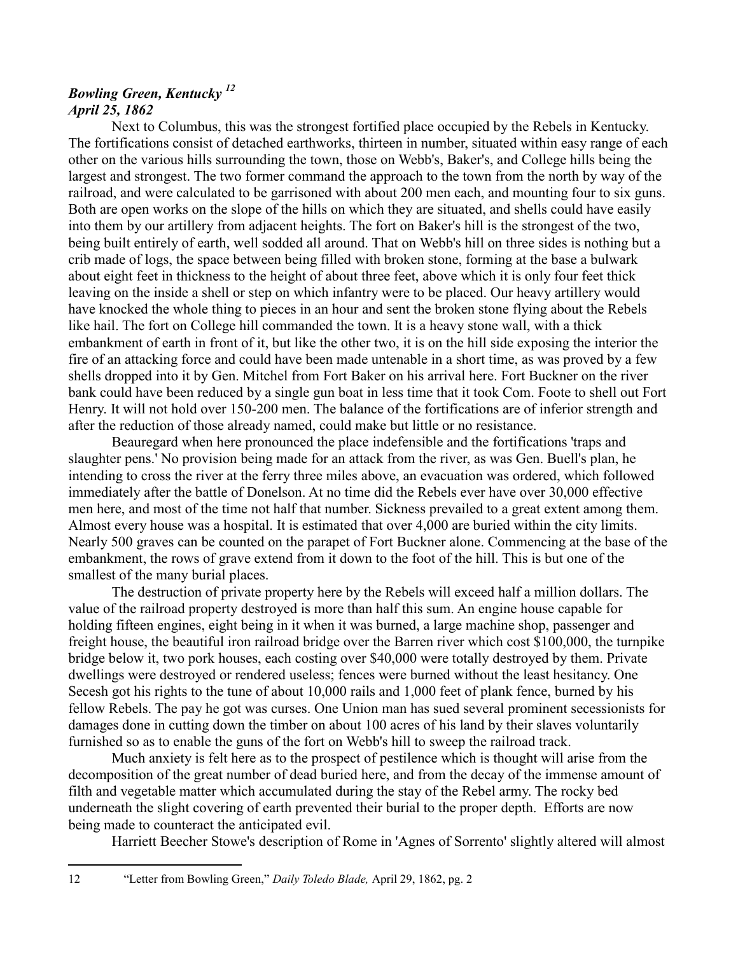# *Bowling Green, Kentucky <sup>12</sup> April 25, 1862*

Next to Columbus, this was the strongest fortified place occupied by the Rebels in Kentucky. The fortifications consist of detached earthworks, thirteen in number, situated within easy range of each other on the various hills surrounding the town, those on Webb's, Baker's, and College hills being the largest and strongest. The two former command the approach to the town from the north by way of the railroad, and were calculated to be garrisoned with about 200 men each, and mounting four to six guns. Both are open works on the slope of the hills on which they are situated, and shells could have easily into them by our artillery from adjacent heights. The fort on Baker's hill is the strongest of the two, being built entirely of earth, well sodded all around. That on Webb's hill on three sides is nothing but a crib made of logs, the space between being filled with broken stone, forming at the base a bulwark about eight feet in thickness to the height of about three feet, above which it is only four feet thick leaving on the inside a shell or step on which infantry were to be placed. Our heavy artillery would have knocked the whole thing to pieces in an hour and sent the broken stone flying about the Rebels like hail. The fort on College hill commanded the town. It is a heavy stone wall, with a thick embankment of earth in front of it, but like the other two, it is on the hill side exposing the interior the fire of an attacking force and could have been made untenable in a short time, as was proved by a few shells dropped into it by Gen. Mitchel from Fort Baker on his arrival here. Fort Buckner on the river bank could have been reduced by a single gun boat in less time that it took Com. Foote to shell out Fort Henry. It will not hold over 150-200 men. The balance of the fortifications are of inferior strength and after the reduction of those already named, could make but little or no resistance.

Beauregard when here pronounced the place indefensible and the fortifications 'traps and slaughter pens.' No provision being made for an attack from the river, as was Gen. Buell's plan, he intending to cross the river at the ferry three miles above, an evacuation was ordered, which followed immediately after the battle of Donelson. At no time did the Rebels ever have over 30,000 effective men here, and most of the time not half that number. Sickness prevailed to a great extent among them. Almost every house was a hospital. It is estimated that over 4,000 are buried within the city limits. Nearly 500 graves can be counted on the parapet of Fort Buckner alone. Commencing at the base of the embankment, the rows of grave extend from it down to the foot of the hill. This is but one of the smallest of the many burial places.

The destruction of private property here by the Rebels will exceed half a million dollars. The value of the railroad property destroyed is more than half this sum. An engine house capable for holding fifteen engines, eight being in it when it was burned, a large machine shop, passenger and freight house, the beautiful iron railroad bridge over the Barren river which cost \$100,000, the turnpike bridge below it, two pork houses, each costing over \$40,000 were totally destroyed by them. Private dwellings were destroyed or rendered useless; fences were burned without the least hesitancy. One Secesh got his rights to the tune of about 10,000 rails and 1,000 feet of plank fence, burned by his fellow Rebels. The pay he got was curses. One Union man has sued several prominent secessionists for damages done in cutting down the timber on about 100 acres of his land by their slaves voluntarily furnished so as to enable the guns of the fort on Webb's hill to sweep the railroad track.

Much anxiety is felt here as to the prospect of pestilence which is thought will arise from the decomposition of the great number of dead buried here, and from the decay of the immense amount of filth and vegetable matter which accumulated during the stay of the Rebel army. The rocky bed underneath the slight covering of earth prevented their burial to the proper depth. Efforts are now being made to counteract the anticipated evil.

Harriett Beecher Stowe's description of Rome in 'Agnes of Sorrento' slightly altered will almost

12 "Letter from Bowling Green," *Daily Toledo Blade,* April 29, 1862, pg. 2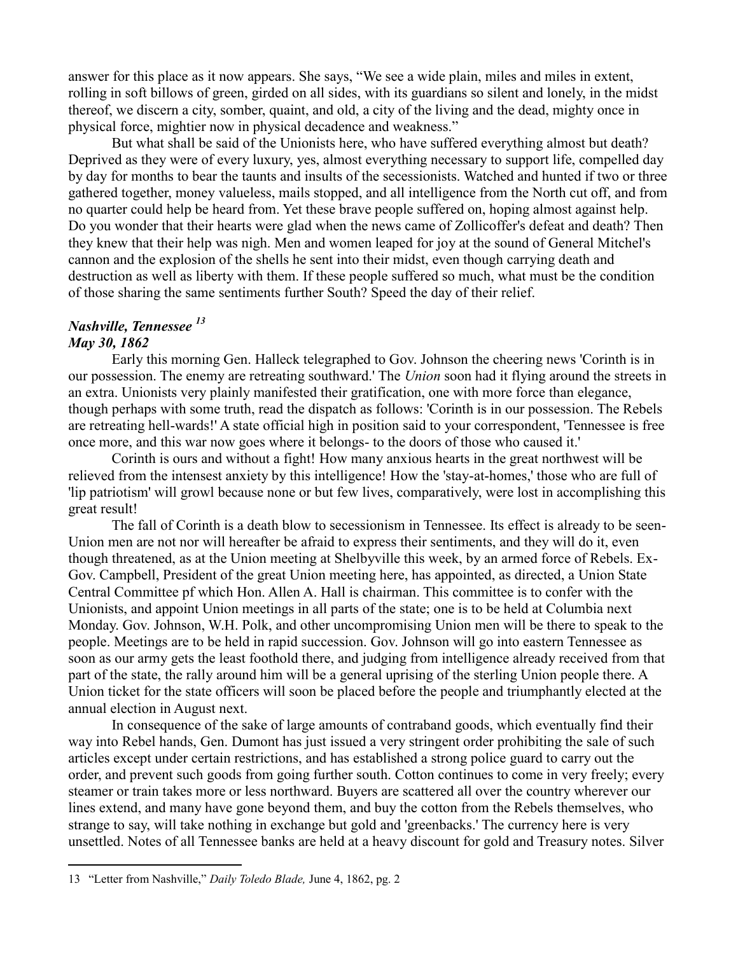answer for this place as it now appears. She says, "We see a wide plain, miles and miles in extent, rolling in soft billows of green, girded on all sides, with its guardians so silent and lonely, in the midst thereof, we discern a city, somber, quaint, and old, a city of the living and the dead, mighty once in physical force, mightier now in physical decadence and weakness."

But what shall be said of the Unionists here, who have suffered everything almost but death? Deprived as they were of every luxury, yes, almost everything necessary to support life, compelled day by day for months to bear the taunts and insults of the secessionists. Watched and hunted if two or three gathered together, money valueless, mails stopped, and all intelligence from the North cut off, and from no quarter could help be heard from. Yet these brave people suffered on, hoping almost against help. Do you wonder that their hearts were glad when the news came of Zollicoffer's defeat and death? Then they knew that their help was nigh. Men and women leaped for joy at the sound of General Mitchel's cannon and the explosion of the shells he sent into their midst, even though carrying death and destruction as well as liberty with them. If these people suffered so much, what must be the condition of those sharing the same sentiments further South? Speed the day of their relief.

## *Nashville, Tennessee <sup>13</sup>*

#### *May 30, 1862*

 $\overline{a}$ 

Early this morning Gen. Halleck telegraphed to Gov. Johnson the cheering news 'Corinth is in our possession. The enemy are retreating southward.' The *Union* soon had it flying around the streets in an extra. Unionists very plainly manifested their gratification, one with more force than elegance, though perhaps with some truth, read the dispatch as follows: 'Corinth is in our possession. The Rebels are retreating hell-wards!' A state official high in position said to your correspondent, 'Tennessee is free once more, and this war now goes where it belongs- to the doors of those who caused it.'

Corinth is ours and without a fight! How many anxious hearts in the great northwest will be relieved from the intensest anxiety by this intelligence! How the 'stay-at-homes,' those who are full of 'lip patriotism' will growl because none or but few lives, comparatively, were lost in accomplishing this great result!

The fall of Corinth is a death blow to secessionism in Tennessee. Its effect is already to be seen-Union men are not nor will hereafter be afraid to express their sentiments, and they will do it, even though threatened, as at the Union meeting at Shelbyville this week, by an armed force of Rebels. Ex-Gov. Campbell, President of the great Union meeting here, has appointed, as directed, a Union State Central Committee pf which Hon. Allen A. Hall is chairman. This committee is to confer with the Unionists, and appoint Union meetings in all parts of the state; one is to be held at Columbia next Monday. Gov. Johnson, W.H. Polk, and other uncompromising Union men will be there to speak to the people. Meetings are to be held in rapid succession. Gov. Johnson will go into eastern Tennessee as soon as our army gets the least foothold there, and judging from intelligence already received from that part of the state, the rally around him will be a general uprising of the sterling Union people there. A Union ticket for the state officers will soon be placed before the people and triumphantly elected at the annual election in August next.

In consequence of the sake of large amounts of contraband goods, which eventually find their way into Rebel hands, Gen. Dumont has just issued a very stringent order prohibiting the sale of such articles except under certain restrictions, and has established a strong police guard to carry out the order, and prevent such goods from going further south. Cotton continues to come in very freely; every steamer or train takes more or less northward. Buyers are scattered all over the country wherever our lines extend, and many have gone beyond them, and buy the cotton from the Rebels themselves, who strange to say, will take nothing in exchange but gold and 'greenbacks.' The currency here is very unsettled. Notes of all Tennessee banks are held at a heavy discount for gold and Treasury notes. Silver

<sup>13</sup> "Letter from Nashville," *Daily Toledo Blade,* June 4, 1862, pg. 2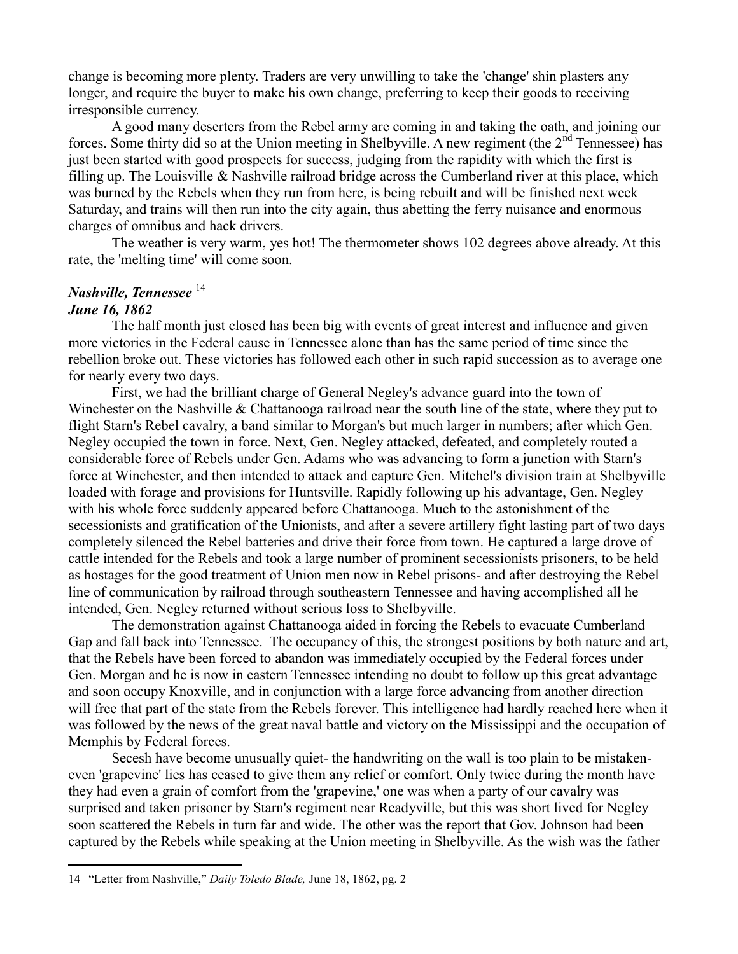change is becoming more plenty. Traders are very unwilling to take the 'change' shin plasters any longer, and require the buyer to make his own change, preferring to keep their goods to receiving irresponsible currency.

A good many deserters from the Rebel army are coming in and taking the oath, and joining our forces. Some thirty did so at the Union meeting in Shelbyville. A new regiment (the 2<sup>nd</sup> Tennessee) has just been started with good prospects for success, judging from the rapidity with which the first is filling up. The Louisville & Nashville railroad bridge across the Cumberland river at this place, which was burned by the Rebels when they run from here, is being rebuilt and will be finished next week Saturday, and trains will then run into the city again, thus abetting the ferry nuisance and enormous charges of omnibus and hack drivers.

The weather is very warm, yes hot! The thermometer shows 102 degrees above already. At this rate, the 'melting time' will come soon.

# *Nashville, Tennessee* <sup>14</sup>

# *June 16, 1862*

 $\overline{a}$ 

The half month just closed has been big with events of great interest and influence and given more victories in the Federal cause in Tennessee alone than has the same period of time since the rebellion broke out. These victories has followed each other in such rapid succession as to average one for nearly every two days.

First, we had the brilliant charge of General Negley's advance guard into the town of Winchester on the Nashville & Chattanooga railroad near the south line of the state, where they put to flight Starn's Rebel cavalry, a band similar to Morgan's but much larger in numbers; after which Gen. Negley occupied the town in force. Next, Gen. Negley attacked, defeated, and completely routed a considerable force of Rebels under Gen. Adams who was advancing to form a junction with Starn's force at Winchester, and then intended to attack and capture Gen. Mitchel's division train at Shelbyville loaded with forage and provisions for Huntsville. Rapidly following up his advantage, Gen. Negley with his whole force suddenly appeared before Chattanooga. Much to the astonishment of the secessionists and gratification of the Unionists, and after a severe artillery fight lasting part of two days completely silenced the Rebel batteries and drive their force from town. He captured a large drove of cattle intended for the Rebels and took a large number of prominent secessionists prisoners, to be held as hostages for the good treatment of Union men now in Rebel prisons- and after destroying the Rebel line of communication by railroad through southeastern Tennessee and having accomplished all he intended, Gen. Negley returned without serious loss to Shelbyville.

The demonstration against Chattanooga aided in forcing the Rebels to evacuate Cumberland Gap and fall back into Tennessee. The occupancy of this, the strongest positions by both nature and art, that the Rebels have been forced to abandon was immediately occupied by the Federal forces under Gen. Morgan and he is now in eastern Tennessee intending no doubt to follow up this great advantage and soon occupy Knoxville, and in conjunction with a large force advancing from another direction will free that part of the state from the Rebels forever. This intelligence had hardly reached here when it was followed by the news of the great naval battle and victory on the Mississippi and the occupation of Memphis by Federal forces.

Secesh have become unusually quiet- the handwriting on the wall is too plain to be mistakeneven 'grapevine' lies has ceased to give them any relief or comfort. Only twice during the month have they had even a grain of comfort from the 'grapevine,' one was when a party of our cavalry was surprised and taken prisoner by Starn's regiment near Readyville, but this was short lived for Negley soon scattered the Rebels in turn far and wide. The other was the report that Gov. Johnson had been captured by the Rebels while speaking at the Union meeting in Shelbyville. As the wish was the father

<sup>14</sup> "Letter from Nashville," *Daily Toledo Blade,* June 18, 1862, pg. 2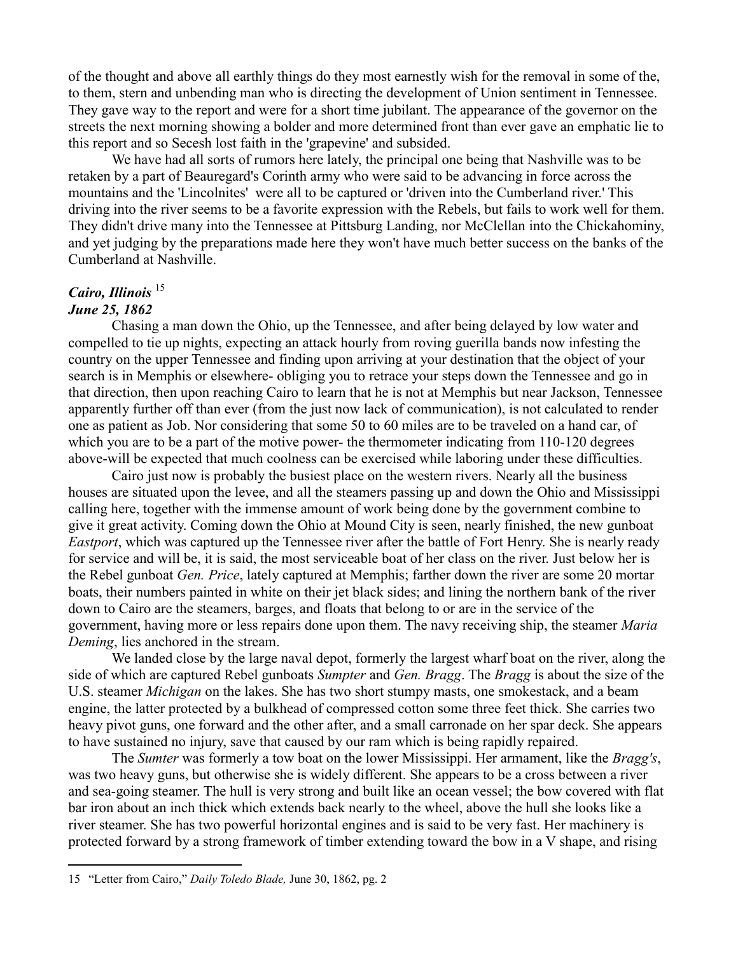of the thought and above all earthly things do they most earnestly wish for the removal in some of the, to them, stern and unbending man who is directing the development of Union sentiment in Tennessee. They gave way to the report and were for a short time jubilant. The appearance of the governor on the streets the next morning showing a bolder and more determined front than ever gave an emphatic lie to this report and so Secesh lost faith in the 'grapevine' and subsided.

We have had all sorts of rumors here lately, the principal one being that Nashville was to be retaken by a part of Beauregard's Corinth army who were said to be advancing in force across the mountains and the 'Lincolnites' were all to be captured or 'driven into the Cumberland river.' This driving into the river seems to be a favorite expression with the Rebels, but fails to work well for them. They didn't drive many into the Tennessee at Pittsburg Landing, nor McClellan into the Chickahominy, and yet judging by the preparations made here they won't have much better success on the banks of the Cumberland at Nashville.

## *Cairo, Illinois* <sup>15</sup> *June 25, 1862*

 $\overline{a}$ 

Chasing a man down the Ohio, up the Tennessee, and after being delayed by low water and compelled to tie up nights, expecting an attack hourly from roving guerilla bands now infesting the country on the upper Tennessee and finding upon arriving at your destination that the object of your search is in Memphis or elsewhere- obliging you to retrace your steps down the Tennessee and go in that direction, then upon reaching Cairo to learn that he is not at Memphis but near Jackson, Tennessee apparently further off than ever (from the just now lack of communication), is not calculated to render one as patient as Job. Nor considering that some 50 to 60 miles are to be traveled on a hand car, of which you are to be a part of the motive power- the thermometer indicating from 110-120 degrees above-will be expected that much coolness can be exercised while laboring under these difficulties.

Cairo just now is probably the busiest place on the western rivers. Nearly all the business houses are situated upon the levee, and all the steamers passing up and down the Ohio and Mississippi calling here, together with the immense amount of work being done by the government combine to give it great activity. Coming down the Ohio at Mound City is seen, nearly finished, the new gunboat *Eastport*, which was captured up the Tennessee river after the battle of Fort Henry. She is nearly ready for service and will be, it is said, the most serviceable boat of her class on the river. Just below her is the Rebel gunboat *Gen. Price*, lately captured at Memphis; farther down the river are some 20 mortar boats, their numbers painted in white on their jet black sides; and lining the northern bank of the river down to Cairo are the steamers, barges, and floats that belong to or are in the service of the government, having more or less repairs done upon them. The navy receiving ship, the steamer *Maria Deming*, lies anchored in the stream.

We landed close by the large naval depot, formerly the largest wharf boat on the river, along the side of which are captured Rebel gunboats *Sumpter* and *Gen. Bragg*. The *Bragg* is about the size of the U.S. steamer *Michigan* on the lakes. She has two short stumpy masts, one smokestack, and a beam engine, the latter protected by a bulkhead of compressed cotton some three feet thick. She carries two heavy pivot guns, one forward and the other after, and a small carronade on her spar deck. She appears to have sustained no injury, save that caused by our ram which is being rapidly repaired.

The *Sumter* was formerly a tow boat on the lower Mississippi. Her armament, like the *Bragg's*, was two heavy guns, but otherwise she is widely different. She appears to be a cross between a river and sea-going steamer. The hull is very strong and built like an ocean vessel; the bow covered with flat bar iron about an inch thick which extends back nearly to the wheel, above the hull she looks like a river steamer. She has two powerful horizontal engines and is said to be very fast. Her machinery is protected forward by a strong framework of timber extending toward the bow in a V shape, and rising

<sup>15</sup> "Letter from Cairo," *Daily Toledo Blade,* June 30, 1862, pg. 2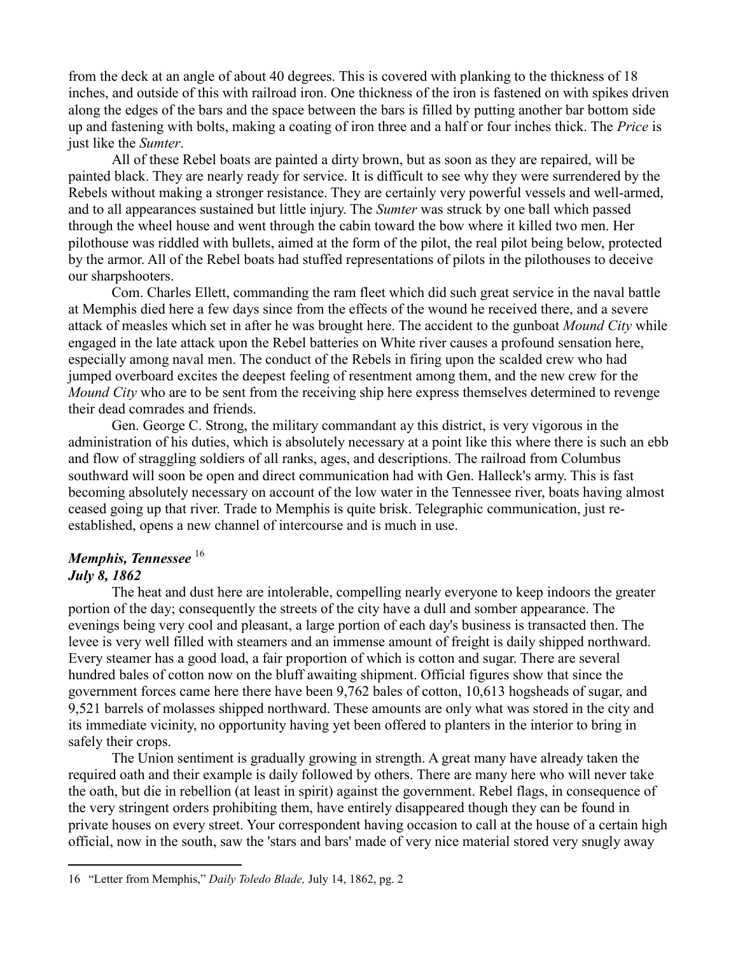from the deck at an angle of about 40 degrees. This is covered with planking to the thickness of 18 inches, and outside of this with railroad iron. One thickness of the iron is fastened on with spikes driven along the edges of the bars and the space between the bars is filled by putting another bar bottom side up and fastening with bolts, making a coating of iron three and a half or four inches thick. The *Price* is just like the *Sumter*.

All of these Rebel boats are painted a dirty brown, but as soon as they are repaired, will be painted black. They are nearly ready for service. It is difficult to see why they were surrendered by the Rebels without making a stronger resistance. They are certainly very powerful vessels and well-armed, and to all appearances sustained but little injury. The *Sumter* was struck by one ball which passed through the wheel house and went through the cabin toward the bow where it killed two men. Her pilothouse was riddled with bullets, aimed at the form of the pilot, the real pilot being below, protected by the armor. All of the Rebel boats had stuffed representations of pilots in the pilothouses to deceive our sharpshooters.

Com. Charles Ellett, commanding the ram fleet which did such great service in the naval battle at Memphis died here a few days since from the effects of the wound he received there, and a severe attack of measles which set in after he was brought here. The accident to the gunboat *Mound City* while engaged in the late attack upon the Rebel batteries on White river causes a profound sensation here, especially among naval men. The conduct of the Rebels in firing upon the scalded crew who had jumped overboard excites the deepest feeling of resentment among them, and the new crew for the *Mound City* who are to be sent from the receiving ship here express themselves determined to revenge their dead comrades and friends.

Gen. George C. Strong, the military commandant ay this district, is very vigorous in the administration of his duties, which is absolutely necessary at a point like this where there is such an ebb and flow of straggling soldiers of all ranks, ages, and descriptions. The railroad from Columbus southward will soon be open and direct communication had with Gen. Halleck's army. This is fast becoming absolutely necessary on account of the low water in the Tennessee river, boats having almost ceased going up that river. Trade to Memphis is quite brisk. Telegraphic communication, just reestablished, opens a new channel of intercourse and is much in use.

# *Memphis, Tennessee* <sup>16</sup>

# *July 8, 1862*

 $\overline{a}$ 

The heat and dust here are intolerable, compelling nearly everyone to keep indoors the greater portion of the day; consequently the streets of the city have a dull and somber appearance. The evenings being very cool and pleasant, a large portion of each day's business is transacted then. The levee is very well filled with steamers and an immense amount of freight is daily shipped northward. Every steamer has a good load, a fair proportion of which is cotton and sugar. There are several hundred bales of cotton now on the bluff awaiting shipment. Official figures show that since the government forces came here there have been 9,762 bales of cotton, 10,613 hogsheads of sugar, and 9,521 barrels of molasses shipped northward. These amounts are only what was stored in the city and its immediate vicinity, no opportunity having yet been offered to planters in the interior to bring in safely their crops.

The Union sentiment is gradually growing in strength. A great many have already taken the required oath and their example is daily followed by others. There are many here who will never take the oath, but die in rebellion (at least in spirit) against the government. Rebel flags, in consequence of the very stringent orders prohibiting them, have entirely disappeared though they can be found in private houses on every street. Your correspondent having occasion to call at the house of a certain high official, now in the south, saw the 'stars and bars' made of very nice material stored very snugly away

<sup>16</sup> "Letter from Memphis," *Daily Toledo Blade,* July 14, 1862, pg. 2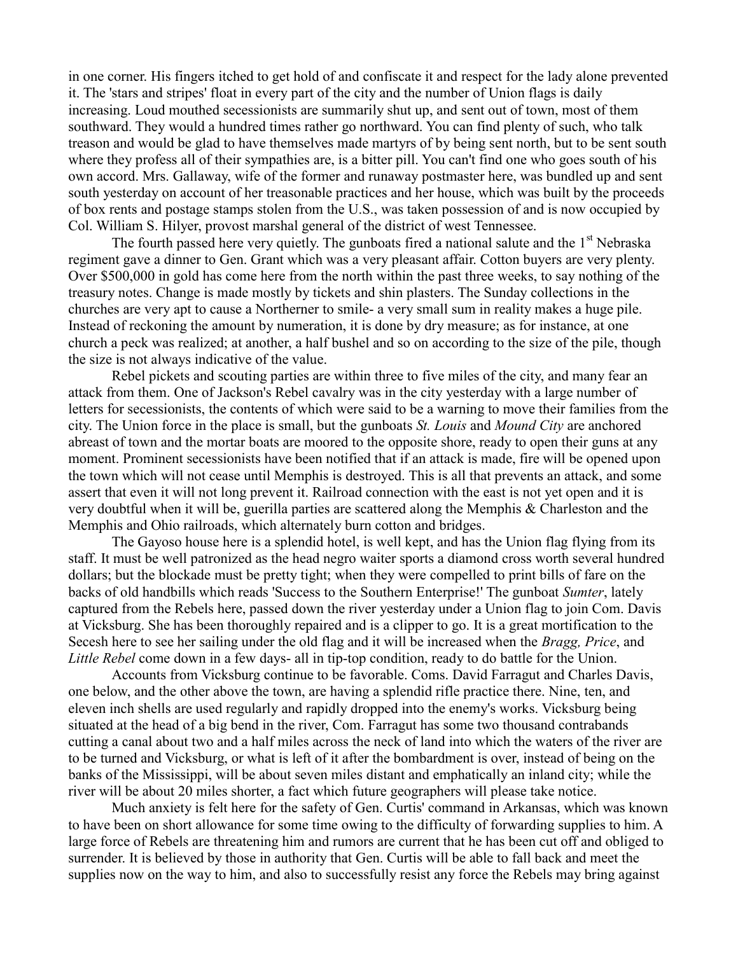in one corner. His fingers itched to get hold of and confiscate it and respect for the lady alone prevented it. The 'stars and stripes' float in every part of the city and the number of Union flags is daily increasing. Loud mouthed secessionists are summarily shut up, and sent out of town, most of them southward. They would a hundred times rather go northward. You can find plenty of such, who talk treason and would be glad to have themselves made martyrs of by being sent north, but to be sent south where they profess all of their sympathies are, is a bitter pill. You can't find one who goes south of his own accord. Mrs. Gallaway, wife of the former and runaway postmaster here, was bundled up and sent south yesterday on account of her treasonable practices and her house, which was built by the proceeds of box rents and postage stamps stolen from the U.S., was taken possession of and is now occupied by Col. William S. Hilyer, provost marshal general of the district of west Tennessee.

The fourth passed here very quietly. The gunboats fired a national salute and the  $1<sup>st</sup>$  Nebraska regiment gave a dinner to Gen. Grant which was a very pleasant affair. Cotton buyers are very plenty. Over \$500,000 in gold has come here from the north within the past three weeks, to say nothing of the treasury notes. Change is made mostly by tickets and shin plasters. The Sunday collections in the churches are very apt to cause a Northerner to smile- a very small sum in reality makes a huge pile. Instead of reckoning the amount by numeration, it is done by dry measure; as for instance, at one church a peck was realized; at another, a half bushel and so on according to the size of the pile, though the size is not always indicative of the value.

Rebel pickets and scouting parties are within three to five miles of the city, and many fear an attack from them. One of Jackson's Rebel cavalry was in the city yesterday with a large number of letters for secessionists, the contents of which were said to be a warning to move their families from the city. The Union force in the place is small, but the gunboats *St. Louis* and *Mound City* are anchored abreast of town and the mortar boats are moored to the opposite shore, ready to open their guns at any moment. Prominent secessionists have been notified that if an attack is made, fire will be opened upon the town which will not cease until Memphis is destroyed. This is all that prevents an attack, and some assert that even it will not long prevent it. Railroad connection with the east is not yet open and it is very doubtful when it will be, guerilla parties are scattered along the Memphis & Charleston and the Memphis and Ohio railroads, which alternately burn cotton and bridges.

The Gayoso house here is a splendid hotel, is well kept, and has the Union flag flying from its staff. It must be well patronized as the head negro waiter sports a diamond cross worth several hundred dollars; but the blockade must be pretty tight; when they were compelled to print bills of fare on the backs of old handbills which reads 'Success to the Southern Enterprise!' The gunboat *Sumter*, lately captured from the Rebels here, passed down the river yesterday under a Union flag to join Com. Davis at Vicksburg. She has been thoroughly repaired and is a clipper to go. It is a great mortification to the Secesh here to see her sailing under the old flag and it will be increased when the *Bragg, Price*, and *Little Rebel* come down in a few days- all in tip-top condition, ready to do battle for the Union.

Accounts from Vicksburg continue to be favorable. Coms. David Farragut and Charles Davis, one below, and the other above the town, are having a splendid rifle practice there. Nine, ten, and eleven inch shells are used regularly and rapidly dropped into the enemy's works. Vicksburg being situated at the head of a big bend in the river, Com. Farragut has some two thousand contrabands cutting a canal about two and a half miles across the neck of land into which the waters of the river are to be turned and Vicksburg, or what is left of it after the bombardment is over, instead of being on the banks of the Mississippi, will be about seven miles distant and emphatically an inland city; while the river will be about 20 miles shorter, a fact which future geographers will please take notice.

Much anxiety is felt here for the safety of Gen. Curtis' command in Arkansas, which was known to have been on short allowance for some time owing to the difficulty of forwarding supplies to him. A large force of Rebels are threatening him and rumors are current that he has been cut off and obliged to surrender. It is believed by those in authority that Gen. Curtis will be able to fall back and meet the supplies now on the way to him, and also to successfully resist any force the Rebels may bring against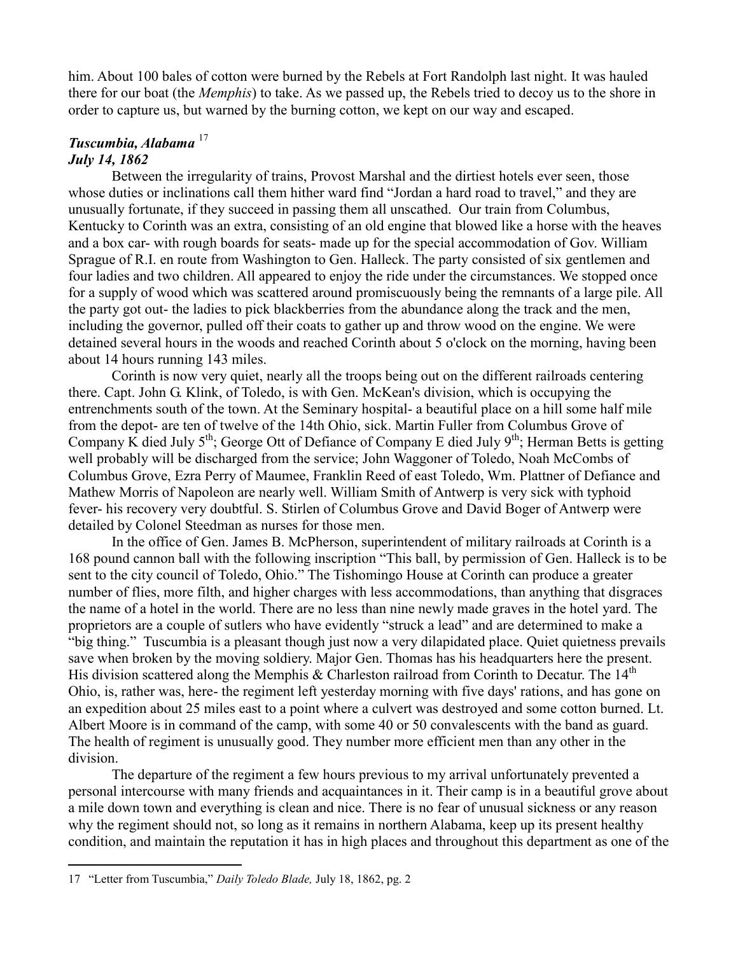him. About 100 bales of cotton were burned by the Rebels at Fort Randolph last night. It was hauled there for our boat (the *Memphis*) to take. As we passed up, the Rebels tried to decoy us to the shore in order to capture us, but warned by the burning cotton, we kept on our way and escaped.

#### *Tuscumbia, Alabama* <sup>17</sup> *July 14, 1862*

Between the irregularity of trains, Provost Marshal and the dirtiest hotels ever seen, those whose duties or inclinations call them hither ward find "Jordan a hard road to travel," and they are unusually fortunate, if they succeed in passing them all unscathed. Our train from Columbus, Kentucky to Corinth was an extra, consisting of an old engine that blowed like a horse with the heaves and a box car- with rough boards for seats- made up for the special accommodation of Gov. William Sprague of R.I. en route from Washington to Gen. Halleck. The party consisted of six gentlemen and four ladies and two children. All appeared to enjoy the ride under the circumstances. We stopped once for a supply of wood which was scattered around promiscuously being the remnants of a large pile. All the party got out- the ladies to pick blackberries from the abundance along the track and the men, including the governor, pulled off their coats to gather up and throw wood on the engine. We were detained several hours in the woods and reached Corinth about 5 o'clock on the morning, having been about 14 hours running 143 miles.

Corinth is now very quiet, nearly all the troops being out on the different railroads centering there. Capt. John G. Klink, of Toledo, is with Gen. McKean's division, which is occupying the entrenchments south of the town. At the Seminary hospital- a beautiful place on a hill some half mile from the depot- are ten of twelve of the 14th Ohio, sick. Martin Fuller from Columbus Grove of Company K died July  $5<sup>th</sup>$ ; George Ott of Defiance of Company E died July  $9<sup>th</sup>$ ; Herman Betts is getting well probably will be discharged from the service; John Waggoner of Toledo, Noah McCombs of Columbus Grove, Ezra Perry of Maumee, Franklin Reed of east Toledo, Wm. Plattner of Defiance and Mathew Morris of Napoleon are nearly well. William Smith of Antwerp is very sick with typhoid fever- his recovery very doubtful. S. Stirlen of Columbus Grove and David Boger of Antwerp were detailed by Colonel Steedman as nurses for those men.

In the office of Gen. James B. McPherson, superintendent of military railroads at Corinth is a 168 pound cannon ball with the following inscription "This ball, by permission of Gen. Halleck is to be sent to the city council of Toledo, Ohio." The Tishomingo House at Corinth can produce a greater number of flies, more filth, and higher charges with less accommodations, than anything that disgraces the name of a hotel in the world. There are no less than nine newly made graves in the hotel yard. The proprietors are a couple of sutlers who have evidently "struck a lead" and are determined to make a "big thing." Tuscumbia is a pleasant though just now a very dilapidated place. Quiet quietness prevails save when broken by the moving soldiery. Major Gen. Thomas has his headquarters here the present. His division scattered along the Memphis & Charleston railroad from Corinth to Decatur. The  $14<sup>th</sup>$ Ohio, is, rather was, here- the regiment left yesterday morning with five days' rations, and has gone on an expedition about 25 miles east to a point where a culvert was destroyed and some cotton burned. Lt. Albert Moore is in command of the camp, with some 40 or 50 convalescents with the band as guard. The health of regiment is unusually good. They number more efficient men than any other in the division.

The departure of the regiment a few hours previous to my arrival unfortunately prevented a personal intercourse with many friends and acquaintances in it. Their camp is in a beautiful grove about a mile down town and everything is clean and nice. There is no fear of unusual sickness or any reason why the regiment should not, so long as it remains in northern Alabama, keep up its present healthy condition, and maintain the reputation it has in high places and throughout this department as one of the

<sup>17</sup> "Letter from Tuscumbia," *Daily Toledo Blade,* July 18, 1862, pg. 2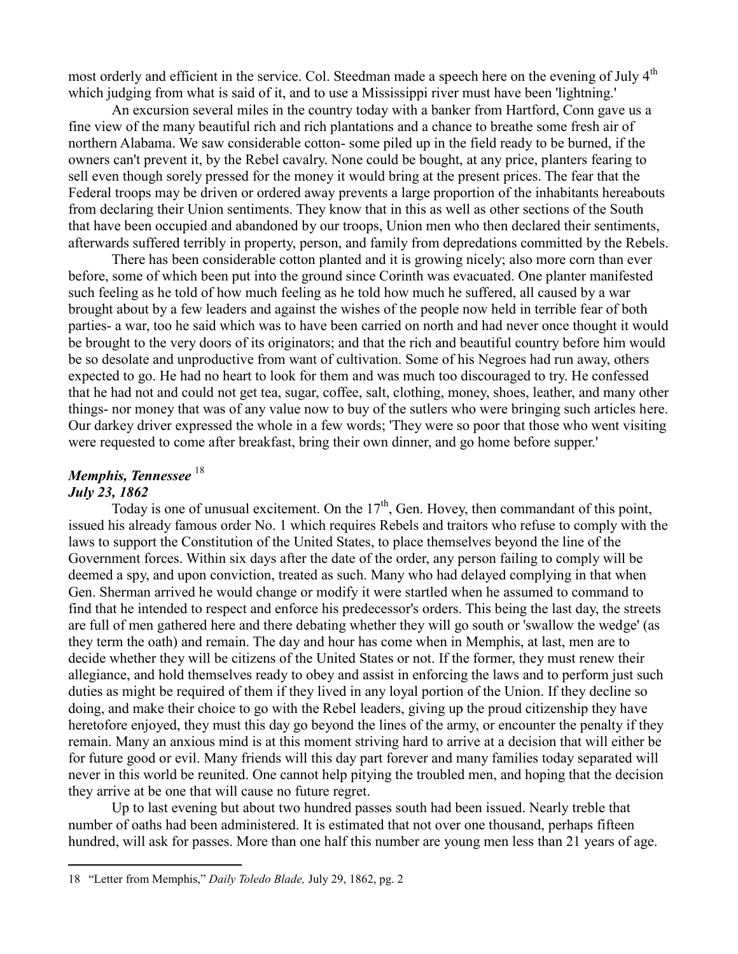most orderly and efficient in the service. Col. Steedman made a speech here on the evening of July 4<sup>th</sup> which judging from what is said of it, and to use a Mississippi river must have been 'lightning.'

An excursion several miles in the country today with a banker from Hartford, Conn gave us a fine view of the many beautiful rich and rich plantations and a chance to breathe some fresh air of northern Alabama. We saw considerable cotton- some piled up in the field ready to be burned, if the owners can't prevent it, by the Rebel cavalry. None could be bought, at any price, planters fearing to sell even though sorely pressed for the money it would bring at the present prices. The fear that the Federal troops may be driven or ordered away prevents a large proportion of the inhabitants hereabouts from declaring their Union sentiments. They know that in this as well as other sections of the South that have been occupied and abandoned by our troops, Union men who then declared their sentiments, afterwards suffered terribly in property, person, and family from depredations committed by the Rebels.

There has been considerable cotton planted and it is growing nicely; also more corn than ever before, some of which been put into the ground since Corinth was evacuated. One planter manifested such feeling as he told of how much feeling as he told how much he suffered, all caused by a war brought about by a few leaders and against the wishes of the people now held in terrible fear of both parties- a war, too he said which was to have been carried on north and had never once thought it would be brought to the very doors of its originators; and that the rich and beautiful country before him would be so desolate and unproductive from want of cultivation. Some of his Negroes had run away, others expected to go. He had no heart to look for them and was much too discouraged to try. He confessed that he had not and could not get tea, sugar, coffee, salt, clothing, money, shoes, leather, and many other things- nor money that was of any value now to buy of the sutlers who were bringing such articles here. Our darkey driver expressed the whole in a few words; 'They were so poor that those who went visiting were requested to come after breakfast, bring their own dinner, and go home before supper.'

# *Memphis, Tennessee*<sup>18</sup> *July 23, 1862*

 $\overline{a}$ 

Today is one of unusual excitement. On the  $17<sup>th</sup>$ , Gen. Hovey, then commandant of this point, issued his already famous order No. 1 which requires Rebels and traitors who refuse to comply with the laws to support the Constitution of the United States, to place themselves beyond the line of the Government forces. Within six days after the date of the order, any person failing to comply will be deemed a spy, and upon conviction, treated as such. Many who had delayed complying in that when Gen. Sherman arrived he would change or modify it were startled when he assumed to command to find that he intended to respect and enforce his predecessor's orders. This being the last day, the streets are full of men gathered here and there debating whether they will go south or 'swallow the wedge' (as they term the oath) and remain. The day and hour has come when in Memphis, at last, men are to decide whether they will be citizens of the United States or not. If the former, they must renew their allegiance, and hold themselves ready to obey and assist in enforcing the laws and to perform just such duties as might be required of them if they lived in any loyal portion of the Union. If they decline so doing, and make their choice to go with the Rebel leaders, giving up the proud citizenship they have heretofore enjoyed, they must this day go beyond the lines of the army, or encounter the penalty if they remain. Many an anxious mind is at this moment striving hard to arrive at a decision that will either be for future good or evil. Many friends will this day part forever and many families today separated will never in this world be reunited. One cannot help pitying the troubled men, and hoping that the decision they arrive at be one that will cause no future regret.

Up to last evening but about two hundred passes south had been issued. Nearly treble that number of oaths had been administered. It is estimated that not over one thousand, perhaps fifteen hundred, will ask for passes. More than one half this number are young men less than 21 years of age.

<sup>18</sup> "Letter from Memphis," *Daily Toledo Blade,* July 29, 1862, pg. 2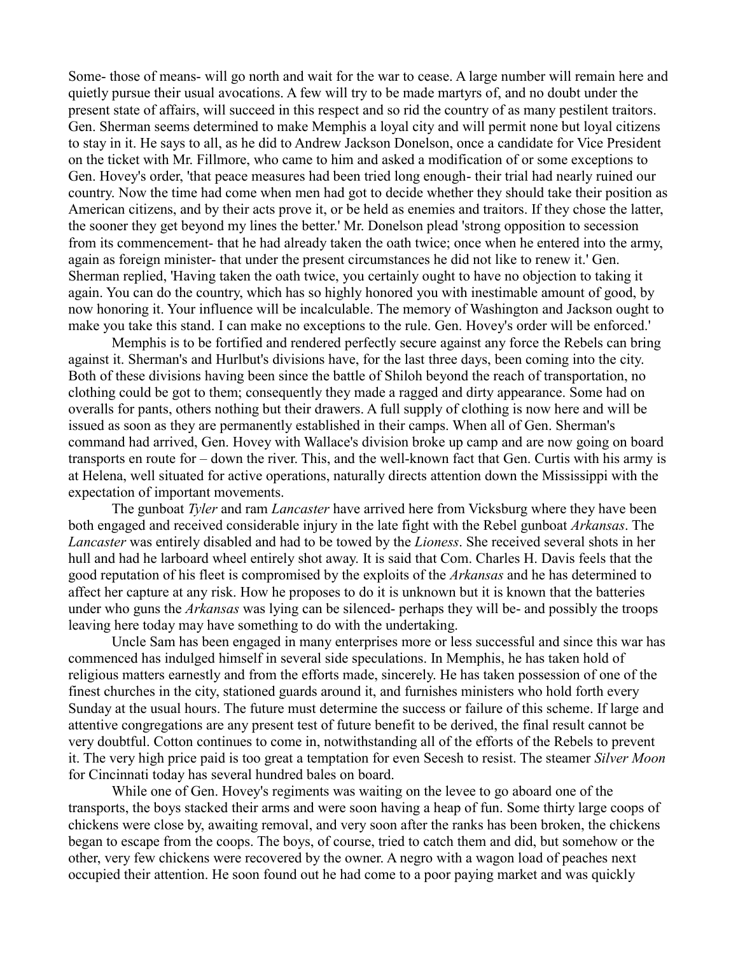Some- those of means- will go north and wait for the war to cease. A large number will remain here and quietly pursue their usual avocations. A few will try to be made martyrs of, and no doubt under the present state of affairs, will succeed in this respect and so rid the country of as many pestilent traitors. Gen. Sherman seems determined to make Memphis a loyal city and will permit none but loyal citizens to stay in it. He says to all, as he did to Andrew Jackson Donelson, once a candidate for Vice President on the ticket with Mr. Fillmore, who came to him and asked a modification of or some exceptions to Gen. Hovey's order, 'that peace measures had been tried long enough- their trial had nearly ruined our country. Now the time had come when men had got to decide whether they should take their position as American citizens, and by their acts prove it, or be held as enemies and traitors. If they chose the latter, the sooner they get beyond my lines the better.' Mr. Donelson plead 'strong opposition to secession from its commencement- that he had already taken the oath twice; once when he entered into the army, again as foreign minister- that under the present circumstances he did not like to renew it.' Gen. Sherman replied, 'Having taken the oath twice, you certainly ought to have no objection to taking it again. You can do the country, which has so highly honored you with inestimable amount of good, by now honoring it. Your influence will be incalculable. The memory of Washington and Jackson ought to make you take this stand. I can make no exceptions to the rule. Gen. Hovey's order will be enforced.'

Memphis is to be fortified and rendered perfectly secure against any force the Rebels can bring against it. Sherman's and Hurlbut's divisions have, for the last three days, been coming into the city. Both of these divisions having been since the battle of Shiloh beyond the reach of transportation, no clothing could be got to them; consequently they made a ragged and dirty appearance. Some had on overalls for pants, others nothing but their drawers. A full supply of clothing is now here and will be issued as soon as they are permanently established in their camps. When all of Gen. Sherman's command had arrived, Gen. Hovey with Wallace's division broke up camp and are now going on board transports en route for – down the river. This, and the well-known fact that Gen. Curtis with his army is at Helena, well situated for active operations, naturally directs attention down the Mississippi with the expectation of important movements.

The gunboat *Tyler* and ram *Lancaster* have arrived here from Vicksburg where they have been both engaged and received considerable injury in the late fight with the Rebel gunboat *Arkansas*. The *Lancaster* was entirely disabled and had to be towed by the *Lioness*. She received several shots in her hull and had he larboard wheel entirely shot away. It is said that Com. Charles H. Davis feels that the good reputation of his fleet is compromised by the exploits of the *Arkansas* and he has determined to affect her capture at any risk. How he proposes to do it is unknown but it is known that the batteries under who guns the *Arkansas* was lying can be silenced- perhaps they will be- and possibly the troops leaving here today may have something to do with the undertaking.

Uncle Sam has been engaged in many enterprises more or less successful and since this war has commenced has indulged himself in several side speculations. In Memphis, he has taken hold of religious matters earnestly and from the efforts made, sincerely. He has taken possession of one of the finest churches in the city, stationed guards around it, and furnishes ministers who hold forth every Sunday at the usual hours. The future must determine the success or failure of this scheme. If large and attentive congregations are any present test of future benefit to be derived, the final result cannot be very doubtful. Cotton continues to come in, notwithstanding all of the efforts of the Rebels to prevent it. The very high price paid is too great a temptation for even Secesh to resist. The steamer *Silver Moon* for Cincinnati today has several hundred bales on board.

While one of Gen. Hovey's regiments was waiting on the levee to go aboard one of the transports, the boys stacked their arms and were soon having a heap of fun. Some thirty large coops of chickens were close by, awaiting removal, and very soon after the ranks has been broken, the chickens began to escape from the coops. The boys, of course, tried to catch them and did, but somehow or the other, very few chickens were recovered by the owner. A negro with a wagon load of peaches next occupied their attention. He soon found out he had come to a poor paying market and was quickly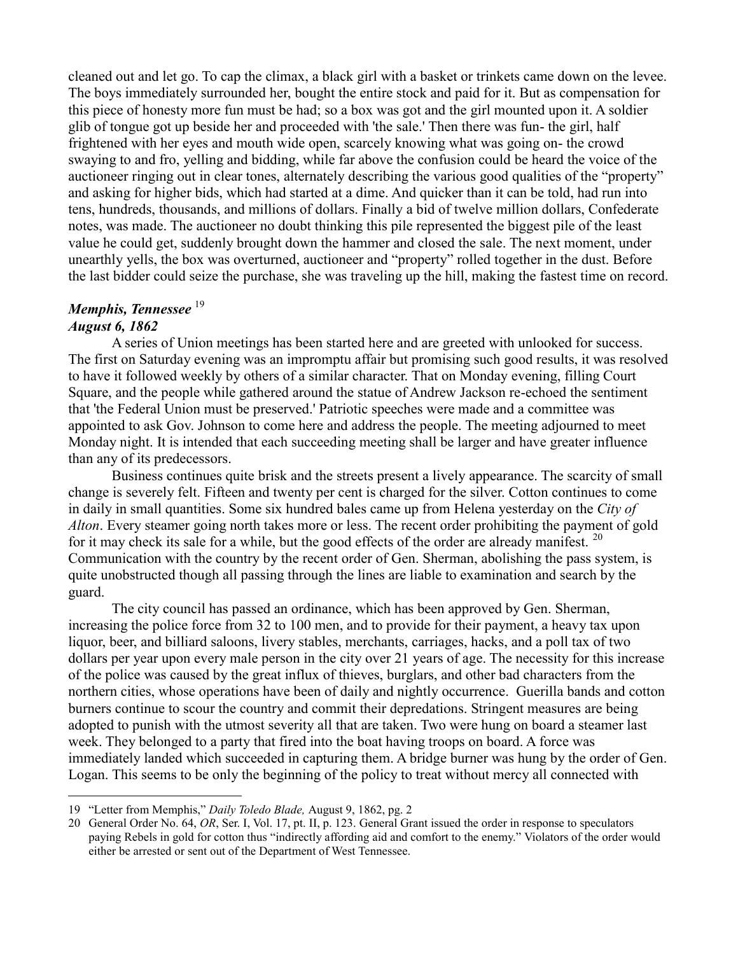cleaned out and let go. To cap the climax, a black girl with a basket or trinkets came down on the levee. The boys immediately surrounded her, bought the entire stock and paid for it. But as compensation for this piece of honesty more fun must be had; so a box was got and the girl mounted upon it. A soldier glib of tongue got up beside her and proceeded with 'the sale.' Then there was fun- the girl, half frightened with her eyes and mouth wide open, scarcely knowing what was going on- the crowd swaying to and fro, yelling and bidding, while far above the confusion could be heard the voice of the auctioneer ringing out in clear tones, alternately describing the various good qualities of the "property" and asking for higher bids, which had started at a dime. And quicker than it can be told, had run into tens, hundreds, thousands, and millions of dollars. Finally a bid of twelve million dollars, Confederate notes, was made. The auctioneer no doubt thinking this pile represented the biggest pile of the least value he could get, suddenly brought down the hammer and closed the sale. The next moment, under unearthly yells, the box was overturned, auctioneer and "property" rolled together in the dust. Before the last bidder could seize the purchase, she was traveling up the hill, making the fastest time on record.

# *Memphis, Tennessee*  19 *August 6, 1862*

 $\overline{a}$ 

A series of Union meetings has been started here and are greeted with unlooked for success. The first on Saturday evening was an impromptu affair but promising such good results, it was resolved to have it followed weekly by others of a similar character. That on Monday evening, filling Court Square, and the people while gathered around the statue of Andrew Jackson re-echoed the sentiment that 'the Federal Union must be preserved.' Patriotic speeches were made and a committee was appointed to ask Gov. Johnson to come here and address the people. The meeting adjourned to meet Monday night. It is intended that each succeeding meeting shall be larger and have greater influence than any of its predecessors.

Business continues quite brisk and the streets present a lively appearance. The scarcity of small change is severely felt. Fifteen and twenty per cent is charged for the silver. Cotton continues to come in daily in small quantities. Some six hundred bales came up from Helena yesterday on the *City of Alton*. Every steamer going north takes more or less. The recent order prohibiting the payment of gold for it may check its sale for a while, but the good effects of the order are already manifest.  $20$ Communication with the country by the recent order of Gen. Sherman, abolishing the pass system, is quite unobstructed though all passing through the lines are liable to examination and search by the guard.

The city council has passed an ordinance, which has been approved by Gen. Sherman, increasing the police force from 32 to 100 men, and to provide for their payment, a heavy tax upon liquor, beer, and billiard saloons, livery stables, merchants, carriages, hacks, and a poll tax of two dollars per year upon every male person in the city over 21 years of age. The necessity for this increase of the police was caused by the great influx of thieves, burglars, and other bad characters from the northern cities, whose operations have been of daily and nightly occurrence. Guerilla bands and cotton burners continue to scour the country and commit their depredations. Stringent measures are being adopted to punish with the utmost severity all that are taken. Two were hung on board a steamer last week. They belonged to a party that fired into the boat having troops on board. A force was immediately landed which succeeded in capturing them. A bridge burner was hung by the order of Gen. Logan. This seems to be only the beginning of the policy to treat without mercy all connected with

<sup>19</sup> "Letter from Memphis," *Daily Toledo Blade,* August 9, 1862, pg. 2

<sup>20</sup> General Order No. 64, *OR*, Ser. I, Vol. 17, pt. II, p. 123. General Grant issued the order in response to speculators paying Rebels in gold for cotton thus "indirectly affording aid and comfort to the enemy." Violators of the order would either be arrested or sent out of the Department of West Tennessee.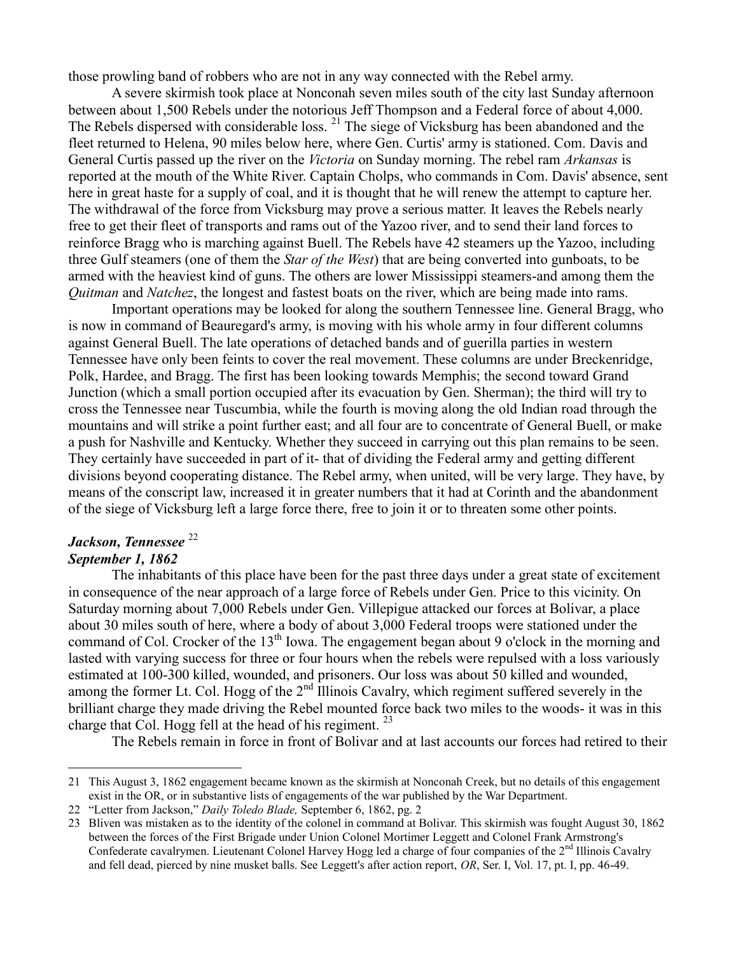those prowling band of robbers who are not in any way connected with the Rebel army.

A severe skirmish took place at Nonconah seven miles south of the city last Sunday afternoon between about 1,500 Rebels under the notorious Jeff Thompson and a Federal force of about 4,000. The Rebels dispersed with considerable loss.<sup>21</sup> The siege of Vicksburg has been abandoned and the fleet returned to Helena, 90 miles below here, where Gen. Curtis' army is stationed. Com. Davis and General Curtis passed up the river on the *Victoria* on Sunday morning. The rebel ram *Arkansas* is reported at the mouth of the White River. Captain Cholps, who commands in Com. Davis' absence, sent here in great haste for a supply of coal, and it is thought that he will renew the attempt to capture her. The withdrawal of the force from Vicksburg may prove a serious matter. It leaves the Rebels nearly free to get their fleet of transports and rams out of the Yazoo river, and to send their land forces to reinforce Bragg who is marching against Buell. The Rebels have 42 steamers up the Yazoo, including three Gulf steamers (one of them the *Star of the West*) that are being converted into gunboats, to be armed with the heaviest kind of guns. The others are lower Mississippi steamers-and among them the *Quitman* and *Natchez*, the longest and fastest boats on the river, which are being made into rams.

Important operations may be looked for along the southern Tennessee line. General Bragg, who is now in command of Beauregard's army, is moving with his whole army in four different columns against General Buell. The late operations of detached bands and of guerilla parties in western Tennessee have only been feints to cover the real movement. These columns are under Breckenridge, Polk, Hardee, and Bragg. The first has been looking towards Memphis; the second toward Grand Junction (which a small portion occupied after its evacuation by Gen. Sherman); the third will try to cross the Tennessee near Tuscumbia, while the fourth is moving along the old Indian road through the mountains and will strike a point further east; and all four are to concentrate of General Buell, or make a push for Nashville and Kentucky. Whether they succeed in carrying out this plan remains to be seen. They certainly have succeeded in part of it- that of dividing the Federal army and getting different divisions beyond cooperating distance. The Rebel army, when united, will be very large. They have, by means of the conscript law, increased it in greater numbers that it had at Corinth and the abandonment of the siege of Vicksburg left a large force there, free to join it or to threaten some other points.

## Jackson, Tennessee<sup>22</sup> *September 1, 1862*

 $\overline{a}$ 

The inhabitants of this place have been for the past three days under a great state of excitement in consequence of the near approach of a large force of Rebels under Gen. Price to this vicinity. On Saturday morning about 7,000 Rebels under Gen. Villepigue attacked our forces at Bolivar, a place about 30 miles south of here, where a body of about 3,000 Federal troops were stationed under the command of Col. Crocker of the 13<sup>th</sup> Iowa. The engagement began about 9 o'clock in the morning and lasted with varying success for three or four hours when the rebels were repulsed with a loss variously estimated at 100-300 killed, wounded, and prisoners. Our loss was about 50 killed and wounded, among the former Lt. Col. Hogg of the  $2<sup>nd</sup>$  Illinois Cavalry, which regiment suffered severely in the brilliant charge they made driving the Rebel mounted force back two miles to the woods- it was in this charge that Col. Hogg fell at the head of his regiment.  $^{23}$ 

The Rebels remain in force in front of Bolivar and at last accounts our forces had retired to their

<sup>21</sup> This August 3, 1862 engagement became known as the skirmish at Nonconah Creek, but no details of this engagement exist in the OR, or in substantive lists of engagements of the war published by the War Department.

<sup>22</sup> "Letter from Jackson," *Daily Toledo Blade,* September 6, 1862, pg. 2

<sup>23</sup> Bliven was mistaken as to the identity of the colonel in command at Bolivar. This skirmish was fought August 30, 1862 between the forces of the First Brigade under Union Colonel Mortimer Leggett and Colonel Frank Armstrong's Confederate cavalrymen. Lieutenant Colonel Harvey Hogg led a charge of four companies of the  $2<sup>nd</sup>$  Illinois Cavalry and fell dead, pierced by nine musket balls. See Leggett's after action report, *OR*, Ser. I, Vol. 17, pt. I, pp. 46-49.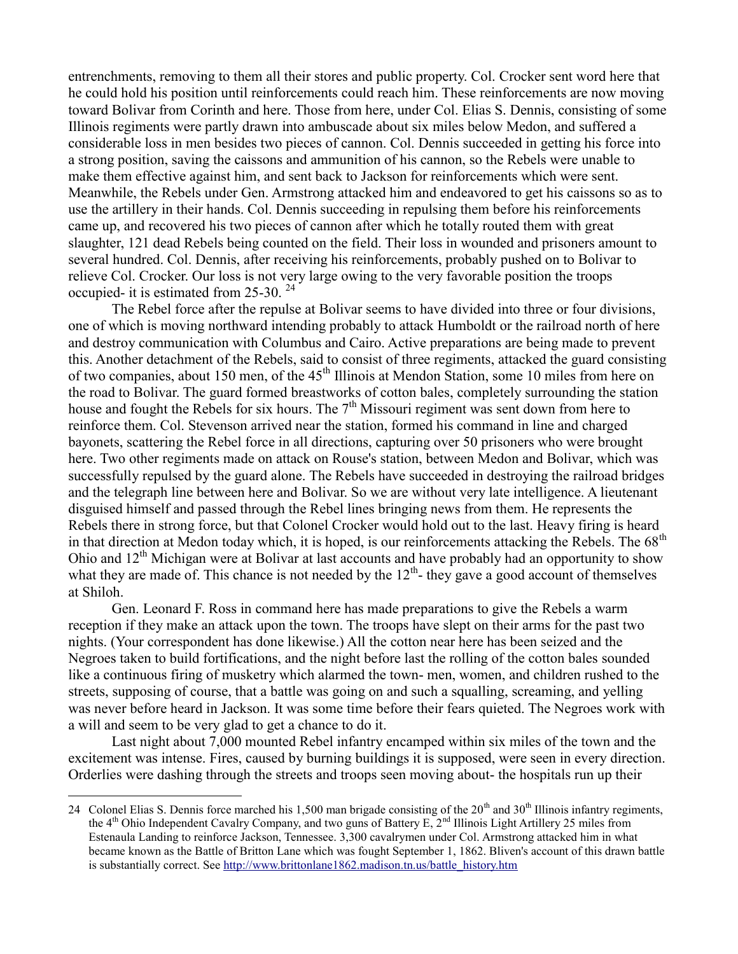entrenchments, removing to them all their stores and public property. Col. Crocker sent word here that he could hold his position until reinforcements could reach him. These reinforcements are now moving toward Bolivar from Corinth and here. Those from here, under Col. Elias S. Dennis, consisting of some Illinois regiments were partly drawn into ambuscade about six miles below Medon, and suffered a considerable loss in men besides two pieces of cannon. Col. Dennis succeeded in getting his force into a strong position, saving the caissons and ammunition of his cannon, so the Rebels were unable to make them effective against him, and sent back to Jackson for reinforcements which were sent. Meanwhile, the Rebels under Gen. Armstrong attacked him and endeavored to get his caissons so as to use the artillery in their hands. Col. Dennis succeeding in repulsing them before his reinforcements came up, and recovered his two pieces of cannon after which he totally routed them with great slaughter, 121 dead Rebels being counted on the field. Their loss in wounded and prisoners amount to several hundred. Col. Dennis, after receiving his reinforcements, probably pushed on to Bolivar to relieve Col. Crocker. Our loss is not very large owing to the very favorable position the troops occupied- it is estimated from 25-30. <sup>24</sup>

The Rebel force after the repulse at Bolivar seems to have divided into three or four divisions, one of which is moving northward intending probably to attack Humboldt or the railroad north of here and destroy communication with Columbus and Cairo. Active preparations are being made to prevent this. Another detachment of the Rebels, said to consist of three regiments, attacked the guard consisting of two companies, about 150 men, of the 45<sup>th</sup> Illinois at Mendon Station, some 10 miles from here on the road to Bolivar. The guard formed breastworks of cotton bales, completely surrounding the station house and fought the Rebels for six hours. The  $7<sup>th</sup>$  Missouri regiment was sent down from here to reinforce them. Col. Stevenson arrived near the station, formed his command in line and charged bayonets, scattering the Rebel force in all directions, capturing over 50 prisoners who were brought here. Two other regiments made on attack on Rouse's station, between Medon and Bolivar, which was successfully repulsed by the guard alone. The Rebels have succeeded in destroying the railroad bridges and the telegraph line between here and Bolivar. So we are without very late intelligence. A lieutenant disguised himself and passed through the Rebel lines bringing news from them. He represents the Rebels there in strong force, but that Colonel Crocker would hold out to the last. Heavy firing is heard in that direction at Medon today which, it is hoped, is our reinforcements attacking the Rebels. The  $68<sup>th</sup>$ Ohio and 12<sup>th</sup> Michigan were at Bolivar at last accounts and have probably had an opportunity to show what they are made of. This chance is not needed by the  $12<sup>th</sup>$ - they gave a good account of themselves at Shiloh.

Gen. Leonard F. Ross in command here has made preparations to give the Rebels a warm reception if they make an attack upon the town. The troops have slept on their arms for the past two nights. (Your correspondent has done likewise.) All the cotton near here has been seized and the Negroes taken to build fortifications, and the night before last the rolling of the cotton bales sounded like a continuous firing of musketry which alarmed the town- men, women, and children rushed to the streets, supposing of course, that a battle was going on and such a squalling, screaming, and yelling was never before heard in Jackson. It was some time before their fears quieted. The Negroes work with a will and seem to be very glad to get a chance to do it.

Last night about 7,000 mounted Rebel infantry encamped within six miles of the town and the excitement was intense. Fires, caused by burning buildings it is supposed, were seen in every direction. Orderlies were dashing through the streets and troops seen moving about- the hospitals run up their

<sup>24</sup> Colonel Elias S. Dennis force marched his 1,500 man brigade consisting of the  $20<sup>th</sup>$  and  $30<sup>th</sup>$  Illinois infantry regiments, the 4<sup>th</sup> Ohio Independent Cavalry Company, and two guns of Battery E, 2<sup>nd</sup> Illinois Light Artillery 25 miles from Estenaula Landing to reinforce Jackson, Tennessee. 3,300 cavalrymen under Col. Armstrong attacked him in what became known as the Battle of Britton Lane which was fought September 1, 1862. Bliven's account of this drawn battle is substantially correct. See [http://www.brittonlane1862.madison.tn.us/battle\\_history.htm](http://www.brittonlane1862.madison.tn.us/battle_history.htm)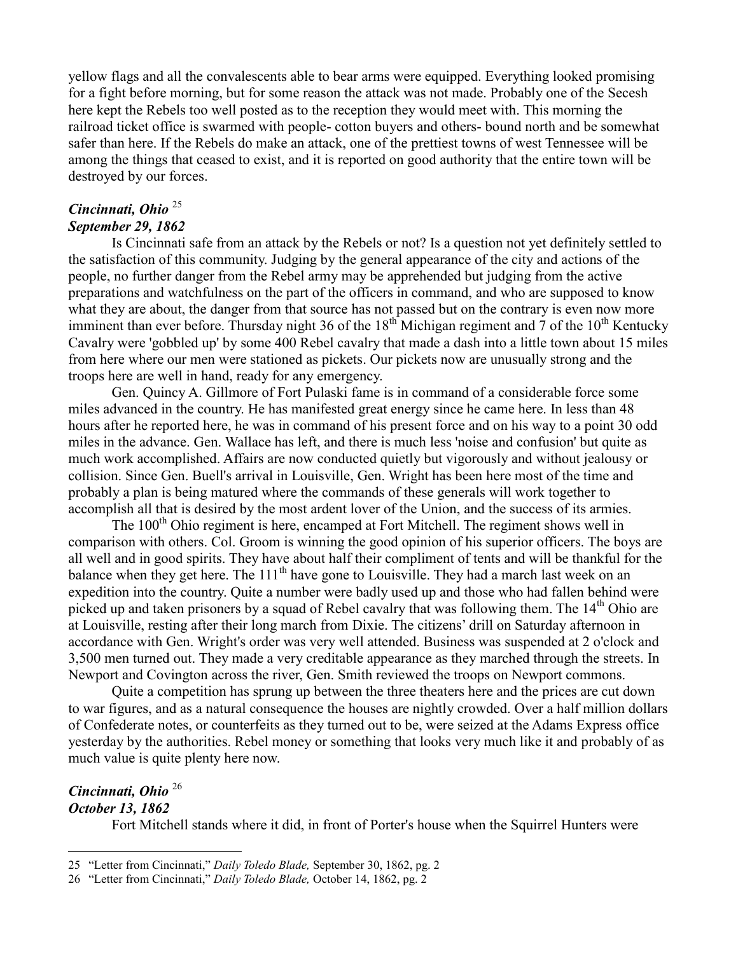yellow flags and all the convalescents able to bear arms were equipped. Everything looked promising for a fight before morning, but for some reason the attack was not made. Probably one of the Secesh here kept the Rebels too well posted as to the reception they would meet with. This morning the railroad ticket office is swarmed with people- cotton buyers and others- bound north and be somewhat safer than here. If the Rebels do make an attack, one of the prettiest towns of west Tennessee will be among the things that ceased to exist, and it is reported on good authority that the entire town will be destroyed by our forces.

## *Cincinnati, Ohio* <sup>25</sup> *September 29, 1862*

Is Cincinnati safe from an attack by the Rebels or not? Is a question not yet definitely settled to the satisfaction of this community. Judging by the general appearance of the city and actions of the people, no further danger from the Rebel army may be apprehended but judging from the active preparations and watchfulness on the part of the officers in command, and who are supposed to know what they are about, the danger from that source has not passed but on the contrary is even now more imminent than ever before. Thursday night 36 of the  $18<sup>th</sup>$  Michigan regiment and 7 of the  $10<sup>th</sup>$  Kentucky Cavalry were 'gobbled up' by some 400 Rebel cavalry that made a dash into a little town about 15 miles from here where our men were stationed as pickets. Our pickets now are unusually strong and the troops here are well in hand, ready for any emergency.

Gen. Quincy A. Gillmore of Fort Pulaski fame is in command of a considerable force some miles advanced in the country. He has manifested great energy since he came here. In less than 48 hours after he reported here, he was in command of his present force and on his way to a point 30 odd miles in the advance. Gen. Wallace has left, and there is much less 'noise and confusion' but quite as much work accomplished. Affairs are now conducted quietly but vigorously and without jealousy or collision. Since Gen. Buell's arrival in Louisville, Gen. Wright has been here most of the time and probably a plan is being matured where the commands of these generals will work together to accomplish all that is desired by the most ardent lover of the Union, and the success of its armies.

The 100<sup>th</sup> Ohio regiment is here, encamped at Fort Mitchell. The regiment shows well in comparison with others. Col. Groom is winning the good opinion of his superior officers. The boys are all well and in good spirits. They have about half their compliment of tents and will be thankful for the balance when they get here. The  $111<sup>th</sup>$  have gone to Louisville. They had a march last week on an expedition into the country. Quite a number were badly used up and those who had fallen behind were picked up and taken prisoners by a squad of Rebel cavalry that was following them. The 14<sup>th</sup> Ohio are at Louisville, resting after their long march from Dixie. The citizens' drill on Saturday afternoon in accordance with Gen. Wright's order was very well attended. Business was suspended at 2 o'clock and 3,500 men turned out. They made a very creditable appearance as they marched through the streets. In Newport and Covington across the river, Gen. Smith reviewed the troops on Newport commons.

Quite a competition has sprung up between the three theaters here and the prices are cut down to war figures, and as a natural consequence the houses are nightly crowded. Over a half million dollars of Confederate notes, or counterfeits as they turned out to be, were seized at the Adams Express office yesterday by the authorities. Rebel money or something that looks very much like it and probably of as much value is quite plenty here now.

#### *Cincinnati, Ohio* <sup>26</sup> *October 13, 1862*

 $\overline{a}$ 

Fort Mitchell stands where it did, in front of Porter's house when the Squirrel Hunters were

<sup>25</sup> "Letter from Cincinnati," *Daily Toledo Blade,* September 30, 1862, pg. 2

<sup>26</sup> "Letter from Cincinnati," *Daily Toledo Blade,* October 14, 1862, pg. 2